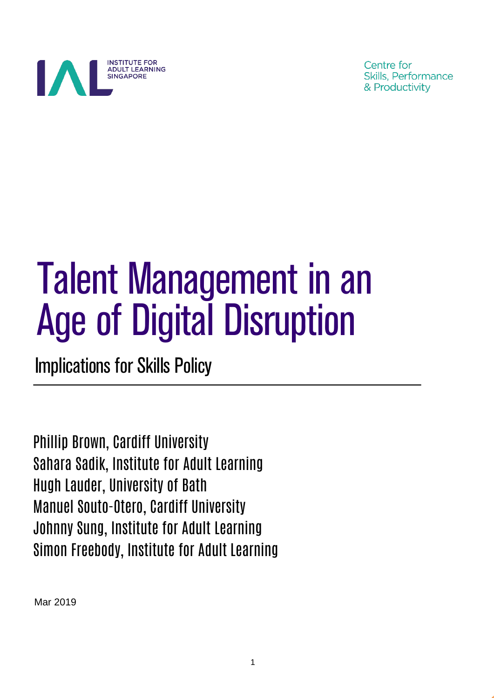

Centre for Skills, Performance & Productivity

# Talent Management in an Age of Digital Disruption

Implications for Skills Policy

Phillip Brown, Cardiff University Sahara Sadik, Institute for Adult Learning Hugh Lauder, University of Bath Manuel Souto-Otero, Cardiff University Johnny Sung, Institute for Adult Learning Simon Freebody, Institute for Adult Learning

Mar 2019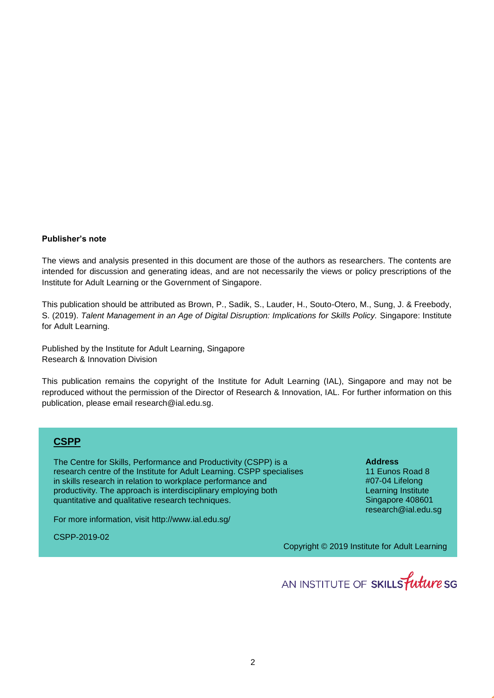#### **Publisher's note**

The views and analysis presented in this document are those of the authors as researchers. The contents are intended for discussion and generating ideas, and are not necessarily the views or policy prescriptions of the Institute for Adult Learning or the Government of Singapore.

This publication should be attributed as Brown, P., Sadik, S., Lauder, H., Souto-Otero, M., Sung, J. & Freebody, S. (2019). *Talent Management in an Age of Digital Disruption: Implications for Skills Policy.* Singapore: Institute for Adult Learning.

Published by the Institute for Adult Learning, Singapore Research & Innovation Division

This publication remains the copyright of the Institute for Adult Learning (IAL), Singapore and may not be reproduced without the permission of the Director of Research & Innovation, IAL. For further information on this publication, please email research@ial.edu.sg.

### **CSPP**

The Centre for Skills, Performance and Productivity (CSPP) is a research centre of the Institute for Adult Learning. CSPP specialises in skills research in relation to workplace performance and productivity. The approach is interdisciplinary employing both quantitative and qualitative research techniques.

For more information, visit <http://www.ial.edu.sg/>

CSPP-2019-02

**Address** 11 Eunos Road 8 #07-04 Lifelong Learning Institute Singapore 408601 research@ial.edu.sg

Copyright © 2019 Institute for Adult Learning

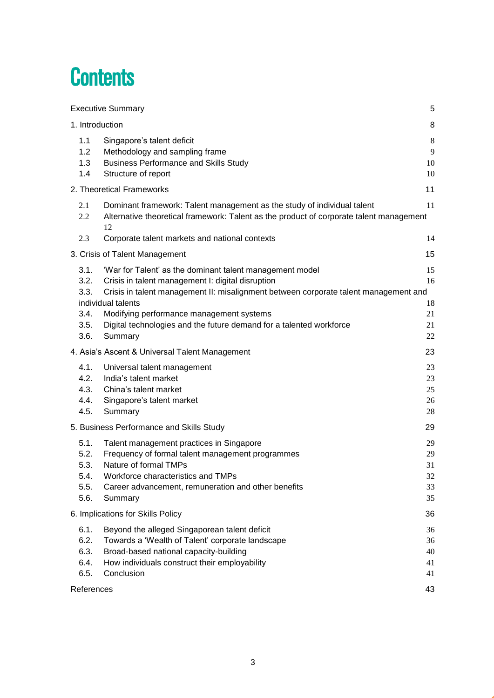# **Contents**

| <b>Executive Summary</b>                                                                                                                                                                                                                                                                                | 5                                |
|---------------------------------------------------------------------------------------------------------------------------------------------------------------------------------------------------------------------------------------------------------------------------------------------------------|----------------------------------|
| 1. Introduction                                                                                                                                                                                                                                                                                         | 8                                |
| 1.1<br>Singapore's talent deficit<br>1.2<br>Methodology and sampling frame<br>1.3<br><b>Business Performance and Skills Study</b><br>1.4<br>Structure of report                                                                                                                                         | 8<br>9<br>10<br>10               |
| 2. Theoretical Frameworks                                                                                                                                                                                                                                                                               | 11                               |
| 2.1<br>Dominant framework: Talent management as the study of individual talent<br>Alternative theoretical framework: Talent as the product of corporate talent management<br>2.2<br>12                                                                                                                  | 11                               |
| 2.3<br>Corporate talent markets and national contexts                                                                                                                                                                                                                                                   | 14                               |
| 3. Crisis of Talent Management                                                                                                                                                                                                                                                                          | 15                               |
| 3.1.<br>'War for Talent' as the dominant talent management model<br>3.2.<br>Crisis in talent management I: digital disruption<br>3.3.<br>Crisis in talent management II: misalignment between corporate talent management and<br>individual talents<br>3.4.<br>Modifying performance management systems | 15<br>16<br>18<br>21             |
| Digital technologies and the future demand for a talented workforce<br>3.5.<br>3.6.<br>Summary                                                                                                                                                                                                          | 21<br>22                         |
| 4. Asia's Ascent & Universal Talent Management                                                                                                                                                                                                                                                          | 23                               |
| 4.1.<br>Universal talent management<br>4.2.<br>India's talent market<br>4.3.<br>China's talent market<br>4.4.<br>Singapore's talent market<br>4.5.<br>Summary                                                                                                                                           | 23<br>23<br>25<br>26<br>28       |
| 5. Business Performance and Skills Study                                                                                                                                                                                                                                                                | 29                               |
| 5.1.<br>Talent management practices in Singapore<br>5.2.<br>Frequency of formal talent management programmes<br>5.3.<br>Nature of formal TMPs<br>5.4.<br>Workforce characteristics and TMPs<br>Career advancement, remuneration and other benefits<br>5.5.<br>5.6.<br>Summary                           | 29<br>29<br>31<br>32<br>33<br>35 |
| 6. Implications for Skills Policy                                                                                                                                                                                                                                                                       | 36                               |
| 6.1.<br>Beyond the alleged Singaporean talent deficit<br>6.2.<br>Towards a 'Wealth of Talent' corporate landscape<br>6.3.<br>Broad-based national capacity-building<br>How individuals construct their employability<br>6.4.<br>6.5.<br>Conclusion                                                      | 36<br>36<br>40<br>41<br>41       |
| References                                                                                                                                                                                                                                                                                              | 43                               |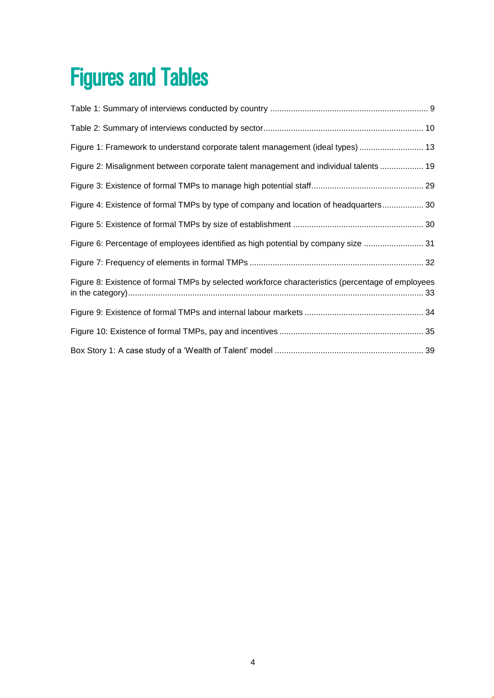# Figures and Tables

| Figure 1: Framework to understand corporate talent management (ideal types)  13                   |
|---------------------------------------------------------------------------------------------------|
| Figure 2: Misalignment between corporate talent management and individual talents  19             |
|                                                                                                   |
| Figure 4: Existence of formal TMPs by type of company and location of headquarters 30             |
|                                                                                                   |
| Figure 6: Percentage of employees identified as high potential by company size  31                |
|                                                                                                   |
| Figure 8: Existence of formal TMPs by selected workforce characteristics (percentage of employees |
|                                                                                                   |
|                                                                                                   |
|                                                                                                   |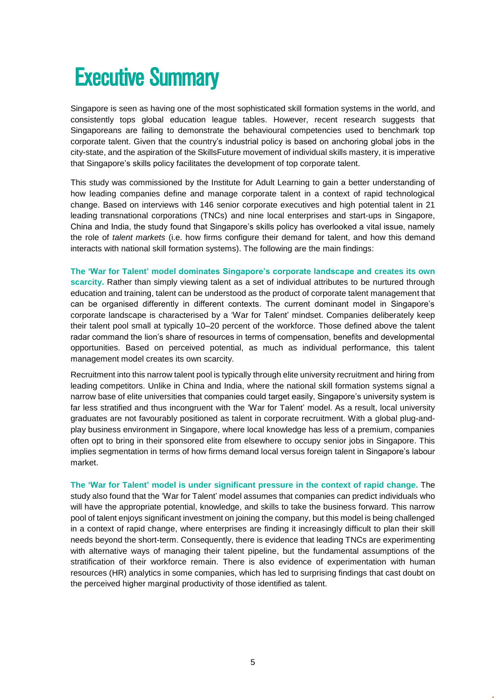# <span id="page-4-0"></span>**Executive Summary**

Singapore is seen as having one of the most sophisticated skill formation systems in the world, and consistently tops global education league tables. However, recent research suggests that Singaporeans are failing to demonstrate the behavioural competencies used to benchmark top corporate talent. Given that the country's industrial policy is based on anchoring global jobs in the city-state, and the aspiration of the SkillsFuture movement of individual skills mastery, it is imperative that Singapore's skills policy facilitates the development of top corporate talent.

This study was commissioned by the Institute for Adult Learning to gain a better understanding of how leading companies define and manage corporate talent in a context of rapid technological change. Based on interviews with 146 senior corporate executives and high potential talent in 21 leading transnational corporations (TNCs) and nine local enterprises and start-ups in Singapore, China and India, the study found that Singapore's skills policy has overlooked a vital issue, namely the role of *talent markets* (i.e. how firms configure their demand for talent, and how this demand interacts with national skill formation systems). The following are the main findings:

**The 'War for Talent' model dominates Singapore's corporate landscape and creates its own scarcity.** Rather than simply viewing talent as a set of individual attributes to be nurtured through education and training, talent can be understood as the product of corporate talent management that can be organised differently in different contexts. The current dominant model in Singapore's corporate landscape is characterised by a 'War for Talent' mindset. Companies deliberately keep their talent pool small at typically 10–20 percent of the workforce. Those defined above the talent radar command the lion's share of resources in terms of compensation, benefits and developmental opportunities. Based on perceived potential, as much as individual performance, this talent management model creates its own scarcity.

Recruitment into this narrow talent pool is typically through elite university recruitment and hiring from leading competitors. Unlike in China and India, where the national skill formation systems signal a narrow base of elite universities that companies could target easily, Singapore's university system is far less stratified and thus incongruent with the 'War for Talent' model. As a result, local university graduates are not favourably positioned as talent in corporate recruitment. With a global plug-andplay business environment in Singapore, where local knowledge has less of a premium, companies often opt to bring in their sponsored elite from elsewhere to occupy senior jobs in Singapore. This implies segmentation in terms of how firms demand local versus foreign talent in Singapore's labour market.

**The 'War for Talent' model is under significant pressure in the context of rapid change.** The study also found that the 'War for Talent' model assumes that companies can predict individuals who will have the appropriate potential, knowledge, and skills to take the business forward. This narrow pool of talent enjoys significant investment on joining the company, but this model is being challenged in a context of rapid change, where enterprises are finding it increasingly difficult to plan their skill needs beyond the short-term. Consequently, there is evidence that leading TNCs are experimenting with alternative ways of managing their talent pipeline, but the fundamental assumptions of the stratification of their workforce remain. There is also evidence of experimentation with human resources (HR) analytics in some companies, which has led to surprising findings that cast doubt on the perceived higher marginal productivity of those identified as talent.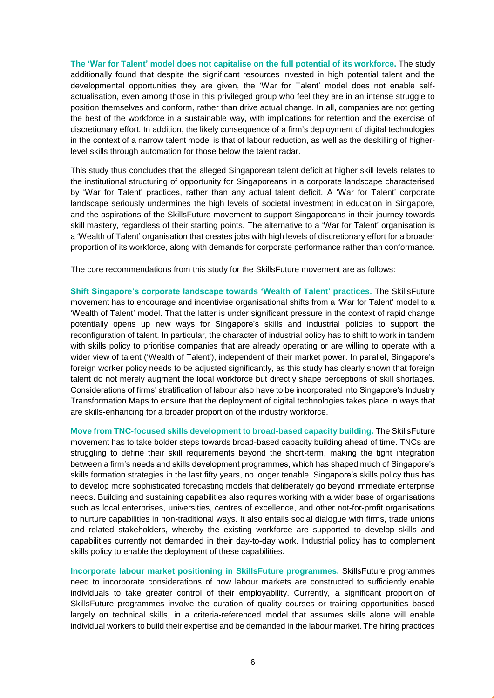**The 'War for Talent' model does not capitalise on the full potential of its workforce.** The study additionally found that despite the significant resources invested in high potential talent and the developmental opportunities they are given, the 'War for Talent' model does not enable selfactualisation, even among those in this privileged group who feel they are in an intense struggle to position themselves and conform, rather than drive actual change. In all, companies are not getting the best of the workforce in a sustainable way, with implications for retention and the exercise of discretionary effort. In addition, the likely consequence of a firm's deployment of digital technologies in the context of a narrow talent model is that of labour reduction, as well as the deskilling of higherlevel skills through automation for those below the talent radar.

This study thus concludes that the alleged Singaporean talent deficit at higher skill levels relates to the institutional structuring of opportunity for Singaporeans in a corporate landscape characterised by 'War for Talent' practices, rather than any actual talent deficit. A 'War for Talent' corporate landscape seriously undermines the high levels of societal investment in education in Singapore, and the aspirations of the SkillsFuture movement to support Singaporeans in their journey towards skill mastery, regardless of their starting points. The alternative to a 'War for Talent' organisation is a 'Wealth of Talent' organisation that creates jobs with high levels of discretionary effort for a broader proportion of its workforce, along with demands for corporate performance rather than conformance.

The core recommendations from this study for the SkillsFuture movement are as follows:

**Shift Singapore's corporate landscape towards 'Wealth of Talent' practices.** The SkillsFuture movement has to encourage and incentivise organisational shifts from a 'War for Talent' model to a 'Wealth of Talent' model. That the latter is under significant pressure in the context of rapid change potentially opens up new ways for Singapore's skills and industrial policies to support the reconfiguration of talent. In particular, the character of industrial policy has to shift to work in tandem with skills policy to prioritise companies that are already operating or are willing to operate with a wider view of talent ('Wealth of Talent'), independent of their market power. In parallel, Singapore's foreign worker policy needs to be adjusted significantly, as this study has clearly shown that foreign talent do not merely augment the local workforce but directly shape perceptions of skill shortages. Considerations of firms' stratification of labour also have to be incorporated into Singapore's Industry Transformation Maps to ensure that the deployment of digital technologies takes place in ways that are skills-enhancing for a broader proportion of the industry workforce.

**Move from TNC-focused skills development to broad-based capacity building.** The SkillsFuture movement has to take bolder steps towards broad-based capacity building ahead of time. TNCs are struggling to define their skill requirements beyond the short-term, making the tight integration between a firm's needs and skills development programmes, which has shaped much of Singapore's skills formation strategies in the last fifty years, no longer tenable. Singapore's skills policy thus has to develop more sophisticated forecasting models that deliberately go beyond immediate enterprise needs. Building and sustaining capabilities also requires working with a wider base of organisations such as local enterprises, universities, centres of excellence, and other not-for-profit organisations to nurture capabilities in non-traditional ways. It also entails social dialogue with firms, trade unions and related stakeholders, whereby the existing workforce are supported to develop skills and capabilities currently not demanded in their day-to-day work. Industrial policy has to complement skills policy to enable the deployment of these capabilities.

**Incorporate labour market positioning in SkillsFuture programmes.** SkillsFuture programmes need to incorporate considerations of how labour markets are constructed to sufficiently enable individuals to take greater control of their employability. Currently, a significant proportion of SkillsFuture programmes involve the curation of quality courses or training opportunities based largely on technical skills, in a criteria-referenced model that assumes skills alone will enable individual workers to build their expertise and be demanded in the labour market. The hiring practices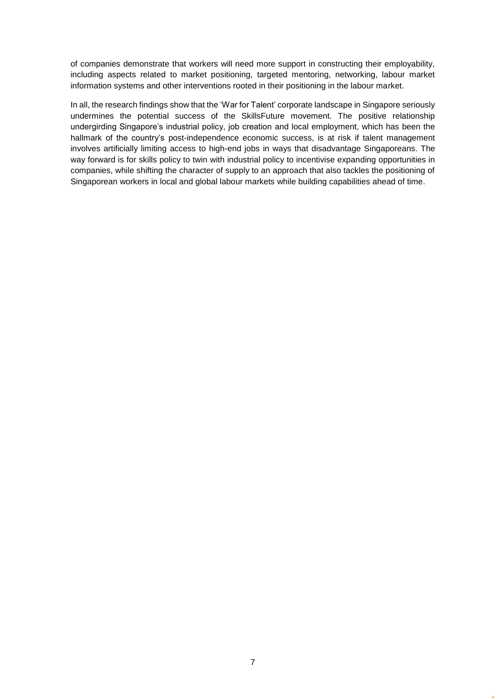of companies demonstrate that workers will need more support in constructing their employability, including aspects related to market positioning, targeted mentoring, networking, labour market information systems and other interventions rooted in their positioning in the labour market.

In all, the research findings show that the 'War for Talent' corporate landscape in Singapore seriously undermines the potential success of the SkillsFuture movement. The positive relationship undergirding Singapore's industrial policy, job creation and local employment, which has been the hallmark of the country's post-independence economic success, is at risk if talent management involves artificially limiting access to high-end jobs in ways that disadvantage Singaporeans. The way forward is for skills policy to twin with industrial policy to incentivise expanding opportunities in companies, while shifting the character of supply to an approach that also tackles the positioning of Singaporean workers in local and global labour markets while building capabilities ahead of time.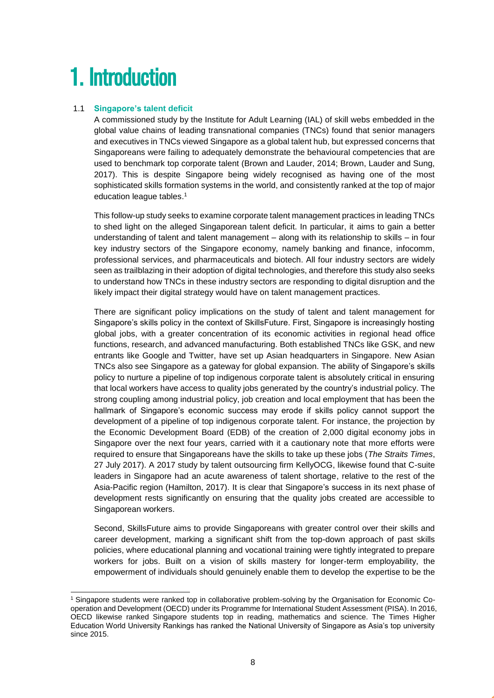# <span id="page-7-0"></span>1. Introduction

### <span id="page-7-1"></span>1.1 **Singapore's talent deficit**

A commissioned study by the Institute for Adult Learning (IAL) of skill webs embedded in the global value chains of leading transnational companies (TNCs) found that senior managers and executives in TNCs viewed Singapore as a global talent hub, but expressed concerns that Singaporeans were failing to adequately demonstrate the behavioural competencies that are used to benchmark top corporate talent (Brown and Lauder, 2014; Brown, Lauder and Sung, 2017). This is despite Singapore being widely recognised as having one of the most sophisticated skills formation systems in the world, and consistently ranked at the top of major education league tables. 1

This follow-up study seeks to examine corporate talent management practices in leading TNCs to shed light on the alleged Singaporean talent deficit. In particular, it aims to gain a better understanding of talent and talent management – along with its relationship to skills – in four key industry sectors of the Singapore economy, namely banking and finance, infocomm, professional services, and pharmaceuticals and biotech. All four industry sectors are widely seen as trailblazing in their adoption of digital technologies, and therefore this study also seeks to understand how TNCs in these industry sectors are responding to digital disruption and the likely impact their digital strategy would have on talent management practices.

There are significant policy implications on the study of talent and talent management for Singapore's skills policy in the context of SkillsFuture. First, Singapore is increasingly hosting global jobs, with a greater concentration of its economic activities in regional head office functions, research, and advanced manufacturing. Both established TNCs like GSK, and new entrants like Google and Twitter, have set up Asian headquarters in Singapore. New Asian TNCs also see Singapore as a gateway for global expansion. The ability of Singapore's skills policy to nurture a pipeline of top indigenous corporate talent is absolutely critical in ensuring that local workers have access to quality jobs generated by the country's industrial policy. The strong coupling among industrial policy, job creation and local employment that has been the hallmark of Singapore's economic success may erode if skills policy cannot support the development of a pipeline of top indigenous corporate talent. For instance, the projection by the Economic Development Board (EDB) of the creation of 2,000 digital economy jobs in Singapore over the next four years, carried with it a cautionary note that more efforts were required to ensure that Singaporeans have the skills to take up these jobs (*The Straits Times*, 27 July 2017). A 2017 study by talent outsourcing firm KellyOCG, likewise found that C-suite leaders in Singapore had an acute awareness of talent shortage, relative to the rest of the Asia-Pacific region (Hamilton, 2017). It is clear that Singapore's success in its next phase of development rests significantly on ensuring that the quality jobs created are accessible to Singaporean workers.

Second, SkillsFuture aims to provide Singaporeans with greater control over their skills and career development, marking a significant shift from the top-down approach of past skills policies, where educational planning and vocational training were tightly integrated to prepare workers for jobs. Built on a vision of skills mastery for longer-term employability, the empowerment of individuals should genuinely enable them to develop the expertise to be the

<sup>-</sup><sup>1</sup> Singapore students were ranked top in collaborative problem-solving by the Organisation for Economic Cooperation and Development (OECD) under its Programme for International Student Assessment (PISA). In 2016, OECD likewise ranked Singapore students top in reading, mathematics and science. The Times Higher Education World University Rankings has ranked the National University of Singapore as Asia's top university since 2015.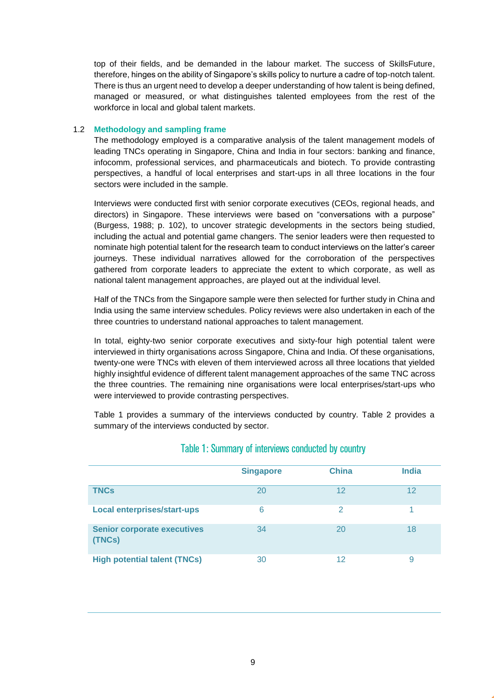top of their fields, and be demanded in the labour market. The success of SkillsFuture, therefore, hinges on the ability of Singapore's skills policy to nurture a cadre of top-notch talent. There is thus an urgent need to develop a deeper understanding of how talent is being defined, managed or measured, or what distinguishes talented employees from the rest of the workforce in local and global talent markets.

#### <span id="page-8-0"></span>1.2 **Methodology and sampling frame**

The methodology employed is a comparative analysis of the talent management models of leading TNCs operating in Singapore, China and India in four sectors: banking and finance, infocomm, professional services, and pharmaceuticals and biotech. To provide contrasting perspectives, a handful of local enterprises and start-ups in all three locations in the four sectors were included in the sample.

Interviews were conducted first with senior corporate executives (CEOs, regional heads, and directors) in Singapore. These interviews were based on "conversations with a purpose" (Burgess, 1988; p. 102), to uncover strategic developments in the sectors being studied, including the actual and potential game changers. The senior leaders were then requested to nominate high potential talent for the research team to conduct interviews on the latter's career journeys. These individual narratives allowed for the corroboration of the perspectives gathered from corporate leaders to appreciate the extent to which corporate, as well as national talent management approaches, are played out at the individual level.

Half of the TNCs from the Singapore sample were then selected for further study in China and India using the same interview schedules. Policy reviews were also undertaken in each of the three countries to understand national approaches to talent management.

In total, eighty-two senior corporate executives and sixty-four high potential talent were interviewed in thirty organisations across Singapore, China and India. Of these organisations, twenty-one were TNCs with eleven of them interviewed across all three locations that yielded highly insightful evidence of different talent management approaches of the same TNC across the three countries. The remaining nine organisations were local enterprises/start-ups who were interviewed to provide contrasting perspectives.

Table 1 provides a summary of the interviews conducted by country. Table 2 provides a summary of the interviews conducted by sector.

|                                              | <b>Singapore</b> | <b>China</b>  | <b>India</b> |
|----------------------------------------------|------------------|---------------|--------------|
| <b>TNCs</b>                                  | 20               | 12            | 12           |
| <b>Local enterprises/start-ups</b>           | 6                | $\mathcal{P}$ |              |
| <b>Senior corporate executives</b><br>(TNCs) | 34               | 20            | 18           |
| <b>High potential talent (TNCs)</b>          | 30               | 12            | 9            |

### Table 1: Summary of interviews conducted by country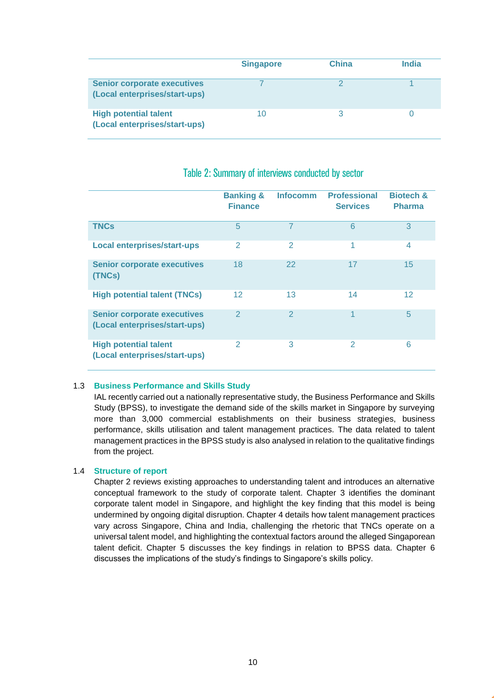|                                                                     | <b>Singapore</b> | <b>China</b> | India |
|---------------------------------------------------------------------|------------------|--------------|-------|
| <b>Senior corporate executives</b><br>(Local enterprises/start-ups) |                  |              |       |
| <b>High potential talent</b><br>(Local enterprises/start-ups)       | 10               |              |       |

|                                                                     | <b>Banking &amp;</b><br><b>Finance</b> | <b>Infocomm</b> | <b>Professional</b><br><b>Services</b> | <b>Biotech &amp;</b><br><b>Pharma</b> |
|---------------------------------------------------------------------|----------------------------------------|-----------------|----------------------------------------|---------------------------------------|
| <b>TNCs</b>                                                         | 5                                      | $\overline{7}$  | 6                                      | 3                                     |
| <b>Local enterprises/start-ups</b>                                  | 2                                      | 2               | 1                                      | 4                                     |
| <b>Senior corporate executives</b><br>(TNCs)                        | 18                                     | 22              | 17                                     | 15                                    |
| <b>High potential talent (TNCs)</b>                                 | $12 \overline{ }$                      | 13              | 14                                     | $12 \overline{ }$                     |
| <b>Senior corporate executives</b><br>(Local enterprises/start-ups) | $\overline{2}$                         | $\overline{2}$  | 1                                      | 5                                     |
| <b>High potential talent</b><br>(Local enterprises/start-ups)       | $\overline{2}$                         | 3               | 2                                      | 6                                     |

### Table 2: Summary of interviews conducted by sector

#### <span id="page-9-0"></span>1.3 **Business Performance and Skills Study**

IAL recently carried out a nationally representative study, the Business Performance and Skills Study (BPSS), to investigate the demand side of the skills market in Singapore by surveying more than 3,000 commercial establishments on their business strategies, business performance, skills utilisation and talent management practices. The data related to talent management practices in the BPSS study is also analysed in relation to the qualitative findings from the project.

#### <span id="page-9-1"></span>1.4 **Structure of report**

Chapter 2 reviews existing approaches to understanding talent and introduces an alternative conceptual framework to the study of corporate talent. Chapter 3 identifies the dominant corporate talent model in Singapore, and highlight the key finding that this model is being undermined by ongoing digital disruption. Chapter 4 details how talent management practices vary across Singapore, China and India, challenging the rhetoric that TNCs operate on a universal talent model, and highlighting the contextual factors around the alleged Singaporean talent deficit. Chapter 5 discusses the key findings in relation to BPSS data. Chapter 6 discusses the implications of the study's findings to Singapore's skills policy.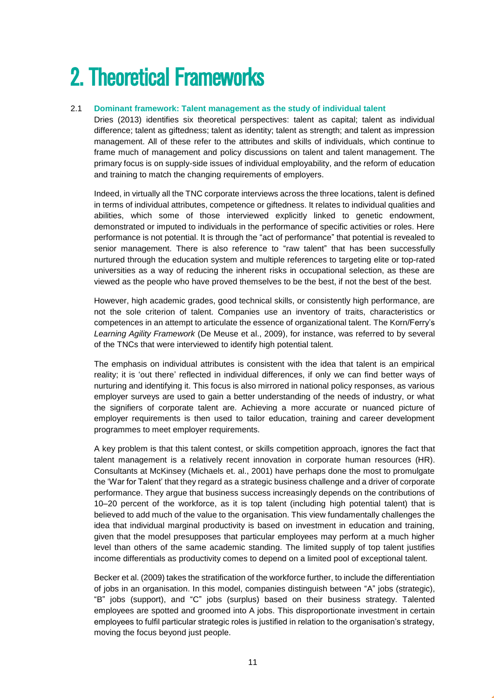# <span id="page-10-0"></span>2. Theoretical Frameworks

#### <span id="page-10-1"></span>2.1 **Dominant framework: Talent management as the study of individual talent**

Dries (2013) identifies six theoretical perspectives: talent as capital; talent as individual difference; talent as giftedness; talent as identity; talent as strength; and talent as impression management. All of these refer to the attributes and skills of individuals, which continue to frame much of management and policy discussions on talent and talent management. The primary focus is on supply-side issues of individual employability, and the reform of education and training to match the changing requirements of employers.

Indeed, in virtually all the TNC corporate interviews across the three locations, talent is defined in terms of individual attributes, competence or giftedness. It relates to individual qualities and abilities, which some of those interviewed explicitly linked to genetic endowment, demonstrated or imputed to individuals in the performance of specific activities or roles. Here performance is not potential. It is through the "act of performance" that potential is revealed to senior management. There is also reference to "raw talent" that has been successfully nurtured through the education system and multiple references to targeting elite or top-rated universities as a way of reducing the inherent risks in occupational selection, as these are viewed as the people who have proved themselves to be the best, if not the best of the best.

However, high academic grades, good technical skills, or consistently high performance, are not the sole criterion of talent. Companies use an inventory of traits, characteristics or competences in an attempt to articulate the essence of organizational talent. The Korn/Ferry's *Learning Agility Framework* (De Meuse et al., 2009), for instance, was referred to by several of the TNCs that were interviewed to identify high potential talent.

The emphasis on individual attributes is consistent with the idea that talent is an empirical reality; it is 'out there' reflected in individual differences, if only we can find better ways of nurturing and identifying it. This focus is also mirrored in national policy responses, as various employer surveys are used to gain a better understanding of the needs of industry, or what the signifiers of corporate talent are. Achieving a more accurate or nuanced picture of employer requirements is then used to tailor education, training and career development programmes to meet employer requirements.

A key problem is that this talent contest, or skills competition approach, ignores the fact that talent management is a relatively recent innovation in corporate human resources (HR). Consultants at McKinsey (Michaels et. al., 2001) have perhaps done the most to promulgate the 'War for Talent' that they regard as a strategic business challenge and a driver of corporate performance. They argue that business success increasingly depends on the contributions of 10–20 percent of the workforce, as it is top talent (including high potential talent) that is believed to add much of the value to the organisation. This view fundamentally challenges the idea that individual marginal productivity is based on investment in education and training, given that the model presupposes that particular employees may perform at a much higher level than others of the same academic standing. The limited supply of top talent justifies income differentials as productivity comes to depend on a limited pool of exceptional talent.

Becker et al. (2009) takes the stratification of the workforce further, to include the differentiation of jobs in an organisation. In this model, companies distinguish between "A" jobs (strategic), "B" jobs (support), and "C" jobs (surplus) based on their business strategy. Talented employees are spotted and groomed into A jobs. This disproportionate investment in certain employees to fulfil particular strategic roles is justified in relation to the organisation's strategy, moving the focus beyond just people.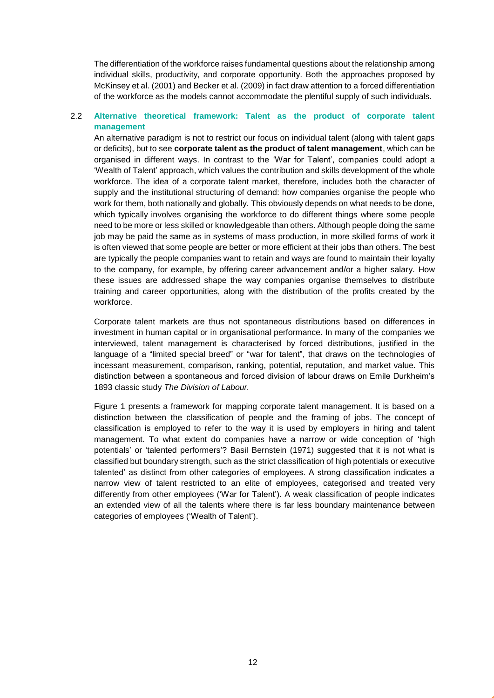The differentiation of the workforce raises fundamental questions about the relationship among individual skills, productivity, and corporate opportunity. Both the approaches proposed by McKinsey et al. (2001) and Becker et al. (2009) in fact draw attention to a forced differentiation of the workforce as the models cannot accommodate the plentiful supply of such individuals.

#### <span id="page-11-0"></span>2.2 **Alternative theoretical framework: Talent as the product of corporate talent management**

An alternative paradigm is not to restrict our focus on individual talent (along with talent gaps or deficits), but to see **corporate talent as the product of talent management**, which can be organised in different ways. In contrast to the 'War for Talent', companies could adopt a 'Wealth of Talent' approach, which values the contribution and skills development of the whole workforce. The idea of a corporate talent market, therefore, includes both the character of supply and the institutional structuring of demand: how companies organise the people who work for them, both nationally and globally. This obviously depends on what needs to be done, which typically involves organising the workforce to do different things where some people need to be more or less skilled or knowledgeable than others. Although people doing the same job may be paid the same as in systems of mass production, in more skilled forms of work it is often viewed that some people are better or more efficient at their jobs than others. The best are typically the people companies want to retain and ways are found to maintain their loyalty to the company, for example, by offering career advancement and/or a higher salary. How these issues are addressed shape the way companies organise themselves to distribute training and career opportunities, along with the distribution of the profits created by the workforce.

Corporate talent markets are thus not spontaneous distributions based on differences in investment in human capital or in organisational performance. In many of the companies we interviewed, talent management is characterised by forced distributions, justified in the language of a "limited special breed" or "war for talent", that draws on the technologies of incessant measurement, comparison, ranking, potential, reputation, and market value. This distinction between a spontaneous and forced division of labour draws on Emile Durkheim's 1893 classic study *The Division of Labour.*

Figure 1 presents a framework for mapping corporate talent management. It is based on a distinction between the classification of people and the framing of jobs. The concept of classification is employed to refer to the way it is used by employers in hiring and talent management. To what extent do companies have a narrow or wide conception of 'high potentials' or 'talented performers'? Basil Bernstein (1971) suggested that it is not what is classified but boundary strength, such as the strict classification of high potentials or executive talented' as distinct from other categories of employees. A strong classification indicates a narrow view of talent restricted to an elite of employees, categorised and treated very differently from other employees ('War for Talent'). A weak classification of people indicates an extended view of all the talents where there is far less boundary maintenance between categories of employees ('Wealth of Talent').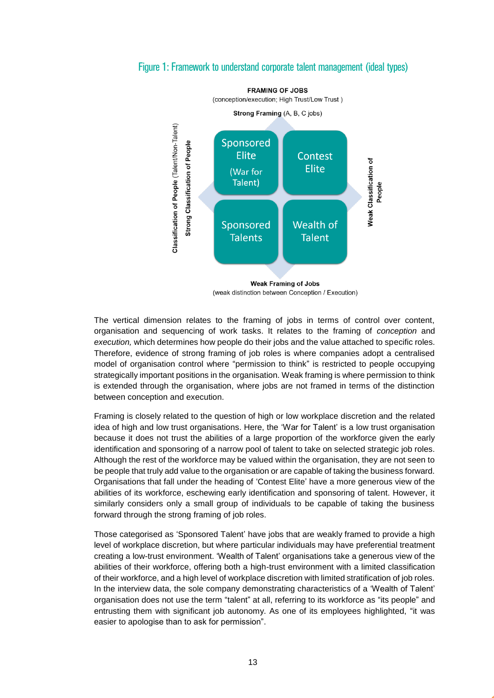



(weak distinction between Conception / Execution)

The vertical dimension relates to the framing of jobs in terms of control over content, organisation and sequencing of work tasks. It relates to the framing of *conception* and *execution,* which determines how people do their jobs and the value attached to specific roles. Therefore, evidence of strong framing of job roles is where companies adopt a centralised model of organisation control where "permission to think" is restricted to people occupying strategically important positions in the organisation. Weak framing is where permission to think is extended through the organisation, where jobs are not framed in terms of the distinction between conception and execution.

Framing is closely related to the question of high or low workplace discretion and the related idea of high and low trust organisations. Here, the 'War for Talent' is a low trust organisation because it does not trust the abilities of a large proportion of the workforce given the early identification and sponsoring of a narrow pool of talent to take on selected strategic job roles. Although the rest of the workforce may be valued within the organisation, they are not seen to be people that truly add value to the organisation or are capable of taking the business forward. Organisations that fall under the heading of 'Contest Elite' have a more generous view of the abilities of its workforce, eschewing early identification and sponsoring of talent. However, it similarly considers only a small group of individuals to be capable of taking the business forward through the strong framing of job roles.

Those categorised as 'Sponsored Talent' have jobs that are weakly framed to provide a high level of workplace discretion, but where particular individuals may have preferential treatment creating a low-trust environment. 'Wealth of Talent' organisations take a generous view of the abilities of their workforce, offering both a high-trust environment with a limited classification of their workforce, and a high level of workplace discretion with limited stratification of job roles. In the interview data, the sole company demonstrating characteristics of a 'Wealth of Talent' organisation does not use the term "talent" at all, referring to its workforce as "its people" and entrusting them with significant job autonomy. As one of its employees highlighted, "it was easier to apologise than to ask for permission".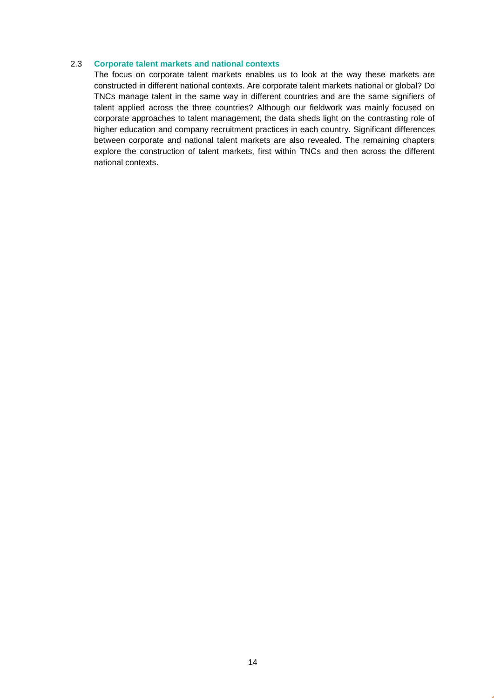#### <span id="page-13-0"></span>2.3 **Corporate talent markets and national contexts**

The focus on corporate talent markets enables us to look at the way these markets are constructed in different national contexts. Are corporate talent markets national or global? Do TNCs manage talent in the same way in different countries and are the same signifiers of talent applied across the three countries? Although our fieldwork was mainly focused on corporate approaches to talent management, the data sheds light on the contrasting role of higher education and company recruitment practices in each country. Significant differences between corporate and national talent markets are also revealed. The remaining chapters explore the construction of talent markets, first within TNCs and then across the different national contexts.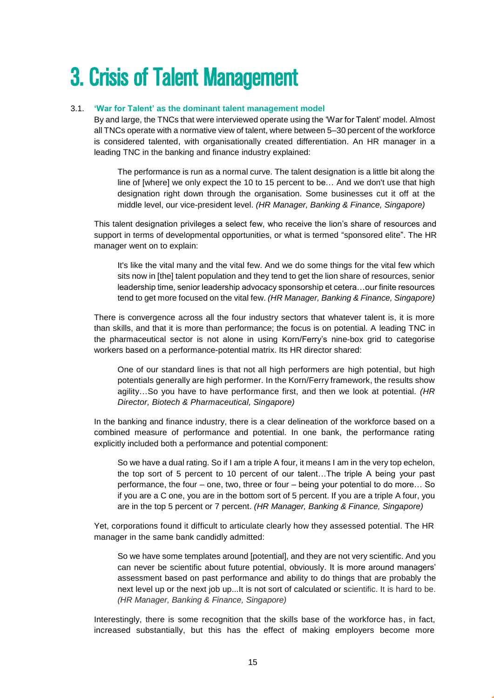# <span id="page-14-0"></span>3. Crisis of Talent Management

#### <span id="page-14-1"></span>3.1. **'War for Talent' as the dominant talent management model**

By and large, the TNCs that were interviewed operate using the 'War for Talent' model. Almost all TNCs operate with a normative view of talent, where between 5–30 percent of the workforce is considered talented, with organisationally created differentiation. An HR manager in a leading TNC in the banking and finance industry explained:

The performance is run as a normal curve. The talent designation is a little bit along the line of [where] we only expect the 10 to 15 percent to be… And we don't use that high designation right down through the organisation. Some businesses cut it off at the middle level, our vice-president level. *(HR Manager, Banking & Finance, Singapore)*

This talent designation privileges a select few, who receive the lion's share of resources and support in terms of developmental opportunities, or what is termed "sponsored elite". The HR manager went on to explain:

It's like the vital many and the vital few. And we do some things for the vital few which sits now in [the] talent population and they tend to get the lion share of resources, senior leadership time, senior leadership advocacy sponsorship et cetera…our finite resources tend to get more focused on the vital few. *(HR Manager, Banking & Finance, Singapore)*

There is convergence across all the four industry sectors that whatever talent is, it is more than skills, and that it is more than performance; the focus is on potential. A leading TNC in the pharmaceutical sector is not alone in using Korn/Ferry's nine-box grid to categorise workers based on a performance-potential matrix. Its HR director shared:

One of our standard lines is that not all high performers are high potential, but high potentials generally are high performer. In the Korn/Ferry framework, the results show agility…So you have to have performance first, and then we look at potential. *(HR Director, Biotech & Pharmaceutical, Singapore)*

In the banking and finance industry, there is a clear delineation of the workforce based on a combined measure of performance and potential. In one bank, the performance rating explicitly included both a performance and potential component:

So we have a dual rating. So if I am a triple A four, it means I am in the very top echelon, the top sort of 5 percent to 10 percent of our talent…The triple A being your past performance, the four – one, two, three or four – being your potential to do more… So if you are a C one, you are in the bottom sort of 5 percent. If you are a triple A four, you are in the top 5 percent or 7 percent. *(HR Manager, Banking & Finance, Singapore)*

Yet, corporations found it difficult to articulate clearly how they assessed potential. The HR manager in the same bank candidly admitted:

So we have some templates around [potential], and they are not very scientific. And you can never be scientific about future potential, obviously. It is more around managers' assessment based on past performance and ability to do things that are probably the next level up or the next job up...It is not sort of calculated or scientific. It is hard to be. *(HR Manager, Banking & Finance, Singapore)*

Interestingly, there is some recognition that the skills base of the workforce has, in fact, increased substantially, but this has the effect of making employers become more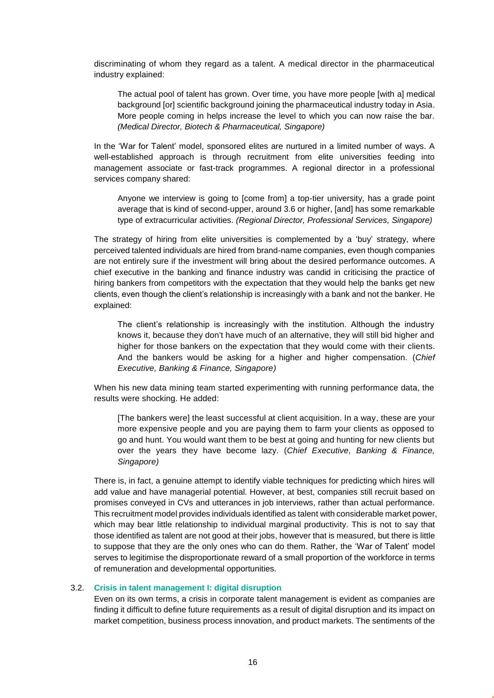discriminating of whom they regard as a talent. A medical director in the pharmaceutical industry explained:

The actual pool of talent has grown. Over time, you have more people [with a] medical background [or] scientific background joining the pharmaceutical industry today in Asia. More people coming in helps increase the level to which you can now raise the bar. *(Medical Director, Biotech & Pharmaceutical, Singapore)*

In the 'War for Talent' model, sponsored elites are nurtured in a limited number of ways. A well-established approach is through recruitment from elite universities feeding into management associate or fast-track programmes. A regional director in a professional services company shared:

Anyone we interview is going to [come from] a top-tier university, has a grade point average that is kind of second-upper, around 3.6 or higher, [and] has some remarkable type of extracurricular activities. *(Regional Director, Professional Services, Singapore)*

The strategy of hiring from elite universities is complemented by a 'buy' strategy, where perceived talented individuals are hired from brand-name companies, even though companies are not entirely sure if the investment will bring about the desired performance outcomes. A chief executive in the banking and finance industry was candid in criticising the practice of hiring bankers from competitors with the expectation that they would help the banks get new clients, even though the client's relationship is increasingly with a bank and not the banker. He explained:

The client's relationship is increasingly with the institution. Although the industry knows it, because they don't have much of an alternative, they will still bid higher and higher for those bankers on the expectation that they would come with their clients. And the bankers would be asking for a higher and higher compensation. (*Chief Executive, Banking & Finance, Singapore)*

When his new data mining team started experimenting with running performance data, the results were shocking. He added:

[The bankers were] the least successful at client acquisition. In a way, these are your more expensive people and you are paying them to farm your clients as opposed to go and hunt. You would want them to be best at going and hunting for new clients but over the years they have become lazy. (*Chief Executive, Banking & Finance, Singapore)*

There is, in fact, a genuine attempt to identify viable techniques for predicting which hires will add value and have managerial potential. However, at best, companies still recruit based on promises conveyed in CVs and utterances in job interviews, rather than actual performance. This recruitment model provides individuals identified as talent with considerable market power, which may bear little relationship to individual marginal productivity. This is not to say that those identified as talent are not good at their jobs, however that is measured, but there is little to suppose that they are the only ones who can do them. Rather, the 'War of Talent' model serves to legitimise the disproportionate reward of a small proportion of the workforce in terms of remuneration and developmental opportunities.

#### <span id="page-15-0"></span>3.2. **Crisis in talent management I: digital disruption**

Even on its own terms, a crisis in corporate talent management is evident as companies are finding it difficult to define future requirements as a result of digital disruption and its impact on market competition, business process innovation, and product markets. The sentiments of the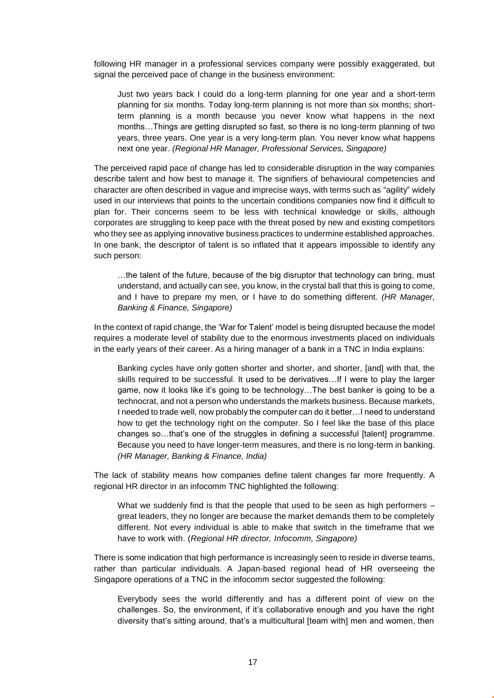following HR manager in a professional services company were possibly exaggerated, but signal the perceived pace of change in the business environment:

Just two years back I could do a long-term planning for one year and a short-term planning for six months. Today long-term planning is not more than six months; shortterm planning is a month because you never know what happens in the next months…Things are getting disrupted so fast, so there is no long-term planning of two years, three years. One year is a very long-term plan. You never know what happens next one year. *(Regional HR Manager, Professional Services, Singapore)*

The perceived rapid pace of change has led to considerable disruption in the way companies describe talent and how best to manage it. The signifiers of behavioural competencies and character are often described in vague and imprecise ways, with terms such as "agility" widely used in our interviews that points to the uncertain conditions companies now find it difficult to plan for. Their concerns seem to be less with technical knowledge or skills, although corporates are struggling to keep pace with the threat posed by new and existing competitors who they see as applying innovative business practices to undermine established approaches. In one bank, the descriptor of talent is so inflated that it appears impossible to identify any such person:

…the talent of the future, because of the big disruptor that technology can bring, must understand, and actually can see, you know, in the crystal ball that this is going to come, and I have to prepare my men, or I have to do something different. *(HR Manager, Banking & Finance, Singapore)*

In the context of rapid change, the 'War for Talent' model is being disrupted because the model requires a moderate level of stability due to the enormous investments placed on individuals in the early years of their career. As a hiring manager of a bank in a TNC in India explains:

Banking cycles have only gotten shorter and shorter, and shorter, [and] with that, the skills required to be successful. It used to be derivatives…If I were to play the larger game, now it looks like it's going to be technology…The best banker is going to be a technocrat, and not a person who understands the markets business. Because markets, I needed to trade well, now probably the computer can do it better…I need to understand how to get the technology right on the computer. So I feel like the base of this place changes so…that's one of the struggles in defining a successful [talent] programme. Because you need to have longer-term measures, and there is no long-term in banking. *(HR Manager, Banking & Finance, India)*

The lack of stability means how companies define talent changes far more frequently. A regional HR director in an infocomm TNC highlighted the following:

What we suddenly find is that the people that used to be seen as high performers – great leaders, they no longer are because the market demands them to be completely different. Not every individual is able to make that switch in the timeframe that we have to work with. (*Regional HR director, Infocomm, Singapore)*

There is some indication that high performance is increasingly seen to reside in diverse teams, rather than particular individuals. A Japan-based regional head of HR overseeing the Singapore operations of a TNC in the infocomm sector suggested the following:

Everybody sees the world differently and has a different point of view on the challenges. So, the environment, if it's collaborative enough and you have the right diversity that's sitting around, that's a multicultural [team with] men and women, then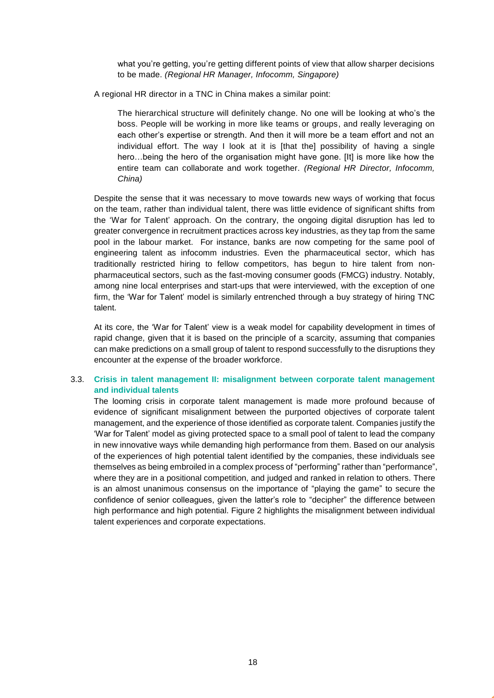what you're getting, you're getting different points of view that allow sharper decisions to be made. *(Regional HR Manager, Infocomm, Singapore)*

A regional HR director in a TNC in China makes a similar point:

The hierarchical structure will definitely change. No one will be looking at who's the boss. People will be working in more like teams or groups, and really leveraging on each other's expertise or strength. And then it will more be a team effort and not an individual effort. The way I look at it is [that the] possibility of having a single hero…being the hero of the organisation might have gone. [It] is more like how the entire team can collaborate and work together. *(Regional HR Director, Infocomm, China)*

Despite the sense that it was necessary to move towards new ways of working that focus on the team, rather than individual talent, there was little evidence of significant shifts from the 'War for Talent' approach. On the contrary, the ongoing digital disruption has led to greater convergence in recruitment practices across key industries, as they tap from the same pool in the labour market. For instance, banks are now competing for the same pool of engineering talent as infocomm industries. Even the pharmaceutical sector, which has traditionally restricted hiring to fellow competitors, has begun to hire talent from nonpharmaceutical sectors, such as the fast-moving consumer goods (FMCG) industry. Notably, among nine local enterprises and start-ups that were interviewed, with the exception of one firm, the 'War for Talent' model is similarly entrenched through a buy strategy of hiring TNC talent.

At its core, the 'War for Talent' view is a weak model for capability development in times of rapid change, given that it is based on the principle of a scarcity, assuming that companies can make predictions on a small group of talent to respond successfully to the disruptions they encounter at the expense of the broader workforce.

#### <span id="page-17-0"></span>3.3. **Crisis in talent management II: misalignment between corporate talent management and individual talents**

The looming crisis in corporate talent management is made more profound because of evidence of significant misalignment between the purported objectives of corporate talent management, and the experience of those identified as corporate talent. Companies justify the 'War for Talent' model as giving protected space to a small pool of talent to lead the company in new innovative ways while demanding high performance from them. Based on our analysis of the experiences of high potential talent identified by the companies, these individuals see themselves as being embroiled in a complex process of "performing" rather than "performance", where they are in a positional competition, and judged and ranked in relation to others. There is an almost unanimous consensus on the importance of "playing the game" to secure the confidence of senior colleagues, given the latter's role to "decipher" the difference between high performance and high potential. Figure 2 highlights the misalignment between individual talent experiences and corporate expectations.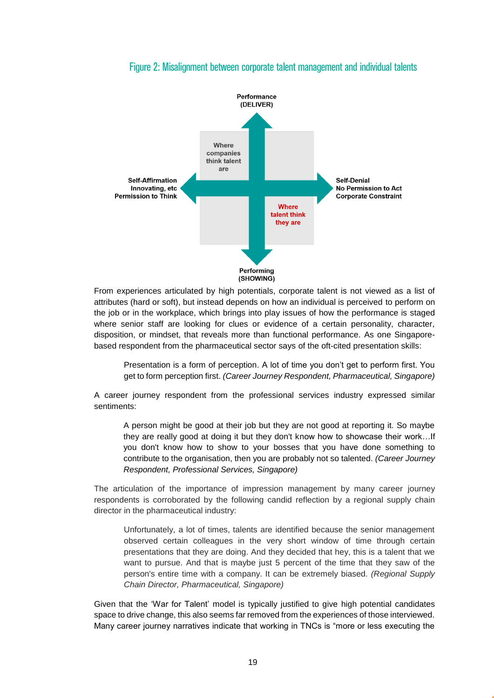

### Figure 2: Misalignment between corporate talent management and individual talents

From experiences articulated by high potentials, corporate talent is not viewed as a list of attributes (hard or soft), but instead depends on how an individual is perceived to perform on the job or in the workplace, which brings into play issues of how the performance is staged where senior staff are looking for clues or evidence of a certain personality, character, disposition, or mindset, that reveals more than functional performance. As one Singaporebased respondent from the pharmaceutical sector says of the oft-cited presentation skills:

Presentation is a form of perception. A lot of time you don't get to perform first. You get to form perception first. *(Career Journey Respondent, Pharmaceutical, Singapore)*

A career journey respondent from the professional services industry expressed similar sentiments:

A person might be good at their job but they are not good at reporting it. So maybe they are really good at doing it but they don't know how to showcase their work…If you don't know how to show to your bosses that you have done something to contribute to the organisation, then you are probably not so talented. *(Career Journey Respondent, Professional Services, Singapore)*

The articulation of the importance of impression management by many career journey respondents is corroborated by the following candid reflection by a regional supply chain director in the pharmaceutical industry:

Unfortunately, a lot of times, talents are identified because the senior management observed certain colleagues in the very short window of time through certain presentations that they are doing. And they decided that hey, this is a talent that we want to pursue. And that is maybe just 5 percent of the time that they saw of the person's entire time with a company. It can be extremely biased. *(Regional Supply Chain Director, Pharmaceutical, Singapore)*

Given that the 'War for Talent' model is typically justified to give high potential candidates space to drive change, this also seems far removed from the experiences of those interviewed. Many career journey narratives indicate that working in TNCs is "more or less executing the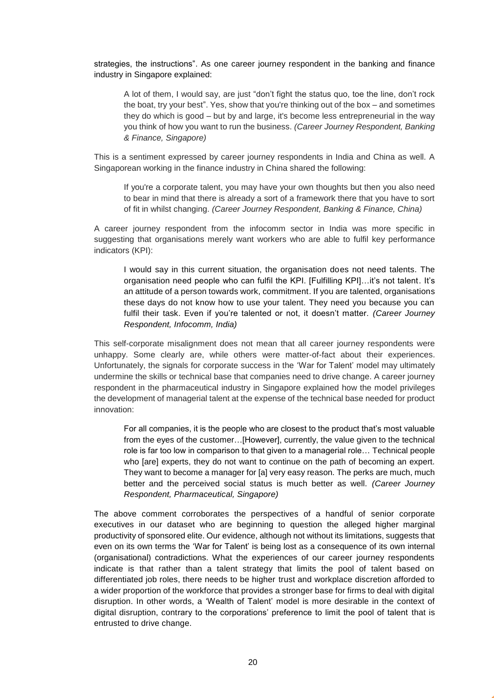strategies, the instructions". As one career journey respondent in the banking and finance industry in Singapore explained:

A lot of them, I would say, are just "don't fight the status quo, toe the line, don't rock the boat, try your best". Yes, show that you're thinking out of the box – and sometimes they do which is good – but by and large, it's become less entrepreneurial in the way you think of how you want to run the business. *(Career Journey Respondent, Banking & Finance, Singapore)*

This is a sentiment expressed by career journey respondents in India and China as well. A Singaporean working in the finance industry in China shared the following:

If you're a corporate talent, you may have your own thoughts but then you also need to bear in mind that there is already a sort of a framework there that you have to sort of fit in whilst changing. *(Career Journey Respondent, Banking & Finance, China)*

A career journey respondent from the infocomm sector in India was more specific in suggesting that organisations merely want workers who are able to fulfil key performance indicators (KPI):

I would say in this current situation, the organisation does not need talents. The organisation need people who can fulfil the KPI. [Fulfilling KPI]…it's not talent. It's an attitude of a person towards work, commitment. If you are talented, organisations these days do not know how to use your talent. They need you because you can fulfil their task. Even if you're talented or not, it doesn't matter. *(Career Journey Respondent, Infocomm, India)*

This self-corporate misalignment does not mean that all career journey respondents were unhappy. Some clearly are, while others were matter-of-fact about their experiences. Unfortunately, the signals for corporate success in the 'War for Talent' model may ultimately undermine the skills or technical base that companies need to drive change. A career journey respondent in the pharmaceutical industry in Singapore explained how the model privileges the development of managerial talent at the expense of the technical base needed for product innovation:

For all companies, it is the people who are closest to the product that's most valuable from the eyes of the customer…[However], currently, the value given to the technical role is far too low in comparison to that given to a managerial role… Technical people who [are] experts, they do not want to continue on the path of becoming an expert. They want to become a manager for [a] very easy reason. The perks are much, much better and the perceived social status is much better as well. *(Career Journey Respondent, Pharmaceutical, Singapore)*

The above comment corroborates the perspectives of a handful of senior corporate executives in our dataset who are beginning to question the alleged higher marginal productivity of sponsored elite. Our evidence, although not without its limitations, suggests that even on its own terms the 'War for Talent' is being lost as a consequence of its own internal (organisational) contradictions. What the experiences of our career journey respondents indicate is that rather than a talent strategy that limits the pool of talent based on differentiated job roles, there needs to be higher trust and workplace discretion afforded to a wider proportion of the workforce that provides a stronger base for firms to deal with digital disruption. In other words, a 'Wealth of Talent' model is more desirable in the context of digital disruption, contrary to the corporations' preference to limit the pool of talent that is entrusted to drive change.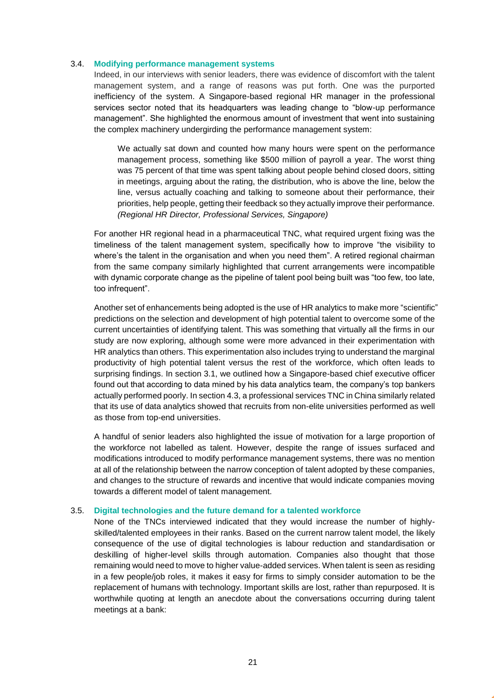#### <span id="page-20-0"></span>3.4. **Modifying performance management systems**

Indeed, in our interviews with senior leaders, there was evidence of discomfort with the talent management system, and a range of reasons was put forth. One was the purported inefficiency of the system. A Singapore-based regional HR manager in the professional services sector noted that its headquarters was leading change to "blow-up performance management". She highlighted the enormous amount of investment that went into sustaining the complex machinery undergirding the performance management system:

We actually sat down and counted how many hours were spent on the performance management process, something like \$500 million of payroll a year. The worst thing was 75 percent of that time was spent talking about people behind closed doors, sitting in meetings, arguing about the rating, the distribution, who is above the line, below the line, versus actually coaching and talking to someone about their performance, their priorities, help people, getting their feedback so they actually improve their performance. *(Regional HR Director, Professional Services, Singapore)*

For another HR regional head in a pharmaceutical TNC, what required urgent fixing was the timeliness of the talent management system, specifically how to improve "the visibility to where's the talent in the organisation and when you need them". A retired regional chairman from the same company similarly highlighted that current arrangements were incompatible with dynamic corporate change as the pipeline of talent pool being built was "too few, too late, too infrequent".

Another set of enhancements being adopted is the use of HR analytics to make more "scientific" predictions on the selection and development of high potential talent to overcome some of the current uncertainties of identifying talent. This was something that virtually all the firms in our study are now exploring, although some were more advanced in their experimentation with HR analytics than others. This experimentation also includes trying to understand the marginal productivity of high potential talent versus the rest of the workforce, which often leads to surprising findings. In section 3.1, we outlined how a Singapore-based chief executive officer found out that according to data mined by his data analytics team, the company's top bankers actually performed poorly. In section 4.3, a professional services TNC in China similarly related that its use of data analytics showed that recruits from non-elite universities performed as well as those from top-end universities.

A handful of senior leaders also highlighted the issue of motivation for a large proportion of the workforce not labelled as talent. However, despite the range of issues surfaced and modifications introduced to modify performance management systems, there was no mention at all of the relationship between the narrow conception of talent adopted by these companies, and changes to the structure of rewards and incentive that would indicate companies moving towards a different model of talent management.

#### <span id="page-20-1"></span>3.5. **Digital technologies and the future demand for a talented workforce**

None of the TNCs interviewed indicated that they would increase the number of highlyskilled/talented employees in their ranks. Based on the current narrow talent model, the likely consequence of the use of digital technologies is labour reduction and standardisation or deskilling of higher-level skills through automation. Companies also thought that those remaining would need to move to higher value-added services. When talent is seen as residing in a few people/job roles, it makes it easy for firms to simply consider automation to be the replacement of humans with technology. Important skills are lost, rather than repurposed. It is worthwhile quoting at length an anecdote about the conversations occurring during talent meetings at a bank: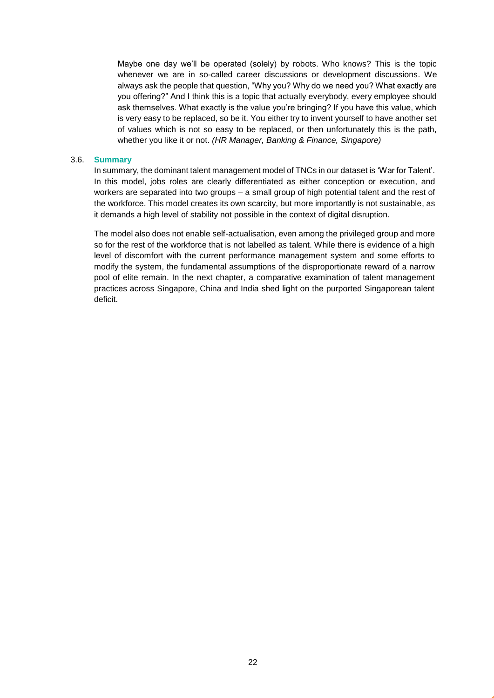Maybe one day we'll be operated (solely) by robots. Who knows? This is the topic whenever we are in so-called career discussions or development discussions. We always ask the people that question, "Why you? Why do we need you? What exactly are you offering?" And I think this is a topic that actually everybody, every employee should ask themselves. What exactly is the value you're bringing? If you have this value, which is very easy to be replaced, so be it. You either try to invent yourself to have another set of values which is not so easy to be replaced, or then unfortunately this is the path, whether you like it or not. *(HR Manager, Banking & Finance, Singapore)*

#### <span id="page-21-0"></span>3.6. **Summary**

In summary, the dominant talent management model of TNCs in our dataset is 'War for Talent'. In this model, jobs roles are clearly differentiated as either conception or execution, and workers are separated into two groups – a small group of high potential talent and the rest of the workforce. This model creates its own scarcity, but more importantly is not sustainable, as it demands a high level of stability not possible in the context of digital disruption.

The model also does not enable self-actualisation, even among the privileged group and more so for the rest of the workforce that is not labelled as talent. While there is evidence of a high level of discomfort with the current performance management system and some efforts to modify the system, the fundamental assumptions of the disproportionate reward of a narrow pool of elite remain. In the next chapter, a comparative examination of talent management practices across Singapore, China and India shed light on the purported Singaporean talent deficit.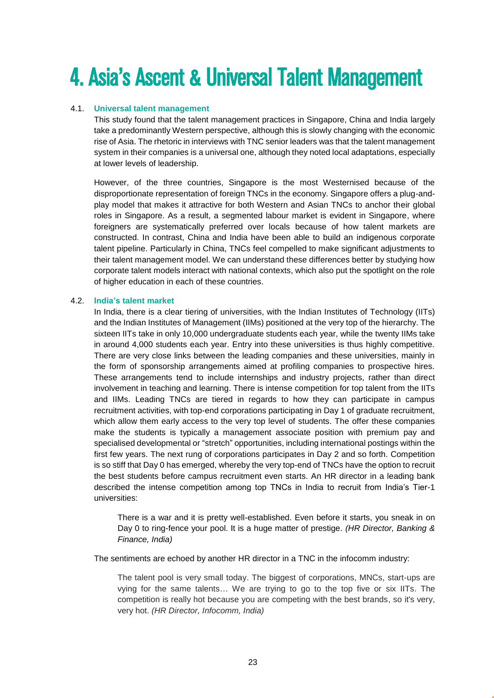# <span id="page-22-0"></span>4. Asia's Ascent & Universal Talent Management

### 4.1. **Universal talent management**

<span id="page-22-1"></span>This study found that the talent management practices in Singapore, China and India largely take a predominantly Western perspective, although this is slowly changing with the economic rise of Asia. The rhetoric in interviews with TNC senior leaders was that the talent management system in their companies is a universal one, although they noted local adaptations, especially at lower levels of leadership.

However, of the three countries, Singapore is the most Westernised because of the disproportionate representation of foreign TNCs in the economy. Singapore offers a plug-andplay model that makes it attractive for both Western and Asian TNCs to anchor their global roles in Singapore. As a result, a segmented labour market is evident in Singapore, where foreigners are systematically preferred over locals because of how talent markets are constructed. In contrast, China and India have been able to build an indigenous corporate talent pipeline. Particularly in China, TNCs feel compelled to make significant adjustments to their talent management model. We can understand these differences better by studying how corporate talent models interact with national contexts, which also put the spotlight on the role of higher education in each of these countries.

#### <span id="page-22-2"></span>4.2. **India's talent market**

In India, there is a clear tiering of universities, with the Indian Institutes of Technology (IITs) and the Indian Institutes of Management (IIMs) positioned at the very top of the hierarchy. The sixteen IITs take in only 10,000 undergraduate students each year, while the twenty IIMs take in around 4,000 students each year. Entry into these universities is thus highly competitive. There are very close links between the leading companies and these universities, mainly in the form of sponsorship arrangements aimed at profiling companies to prospective hires. These arrangements tend to include internships and industry projects, rather than direct involvement in teaching and learning. There is intense competition for top talent from the IITs and IIMs. Leading TNCs are tiered in regards to how they can participate in campus recruitment activities, with top-end corporations participating in Day 1 of graduate recruitment, which allow them early access to the very top level of students. The offer these companies make the students is typically a management associate position with premium pay and specialised developmental or "stretch" opportunities, including international postings within the first few years. The next rung of corporations participates in Day 2 and so forth. Competition is so stiff that Day 0 has emerged, whereby the very top-end of TNCs have the option to recruit the best students before campus recruitment even starts. An HR director in a leading bank described the intense competition among top TNCs in India to recruit from India's Tier-1 universities:

There is a war and it is pretty well-established. Even before it starts, you sneak in on Day 0 to ring-fence your pool. It is a huge matter of prestige. *(HR Director, Banking & Finance, India)*

The sentiments are echoed by another HR director in a TNC in the infocomm industry:

The talent pool is very small today. The biggest of corporations, MNCs, start-ups are vying for the same talents… We are trying to go to the top five or six IITs. The competition is really hot because you are competing with the best brands, so it's very, very hot. *(HR Director, Infocomm, India)*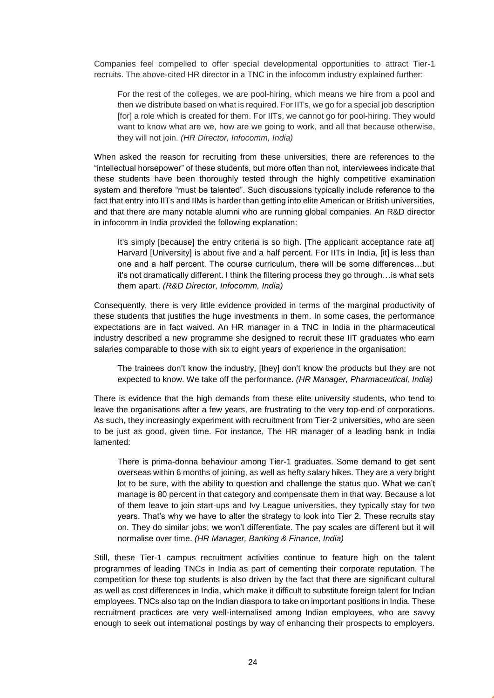Companies feel compelled to offer special developmental opportunities to attract Tier-1 recruits. The above-cited HR director in a TNC in the infocomm industry explained further:

For the rest of the colleges, we are pool-hiring, which means we hire from a pool and then we distribute based on what is required. For IITs, we go for a special job description [for] a role which is created for them. For IITs, we cannot go for pool-hiring. They would want to know what are we, how are we going to work, and all that because otherwise, they will not join. *(HR Director, Infocomm, India)*

When asked the reason for recruiting from these universities, there are references to the "intellectual horsepower" of these students, but more often than not, interviewees indicate that these students have been thoroughly tested through the highly competitive examination system and therefore "must be talented". Such discussions typically include reference to the fact that entry into IITs and IIMs is harder than getting into elite American or British universities, and that there are many notable alumni who are running global companies. An R&D director in infocomm in India provided the following explanation:

It's simply [because] the entry criteria is so high. [The applicant acceptance rate at] Harvard [University] is about five and a half percent. For IITs in India, [it] is less than one and a half percent. The course curriculum, there will be some differences…but it's not dramatically different. I think the filtering process they go through…is what sets them apart. *(R&D Director, Infocomm, India)*

Consequently, there is very little evidence provided in terms of the marginal productivity of these students that justifies the huge investments in them. In some cases, the performance expectations are in fact waived. An HR manager in a TNC in India in the pharmaceutical industry described a new programme she designed to recruit these IIT graduates who earn salaries comparable to those with six to eight years of experience in the organisation:

The trainees don't know the industry, [they] don't know the products but they are not expected to know. We take off the performance. *(HR Manager, Pharmaceutical, India)*

There is evidence that the high demands from these elite university students, who tend to leave the organisations after a few years, are frustrating to the very top-end of corporations. As such, they increasingly experiment with recruitment from Tier-2 universities, who are seen to be just as good, given time. For instance, The HR manager of a leading bank in India lamented:

There is prima-donna behaviour among Tier-1 graduates. Some demand to get sent overseas within 6 months of joining, as well as hefty salary hikes. They are a very bright lot to be sure, with the ability to question and challenge the status quo. What we can't manage is 80 percent in that category and compensate them in that way. Because a lot of them leave to join start-ups and Ivy League universities, they typically stay for two years. That's why we have to alter the strategy to look into Tier 2. These recruits stay on. They do similar jobs; we won't differentiate. The pay scales are different but it will normalise over time. *(HR Manager, Banking & Finance, India)*

Still, these Tier-1 campus recruitment activities continue to feature high on the talent programmes of leading TNCs in India as part of cementing their corporate reputation. The competition for these top students is also driven by the fact that there are significant cultural as well as cost differences in India, which make it difficult to substitute foreign talent for Indian employees. TNCs also tap on the Indian diaspora to take on important positions in India. These recruitment practices are very well-internalised among Indian employees, who are savvy enough to seek out international postings by way of enhancing their prospects to employers.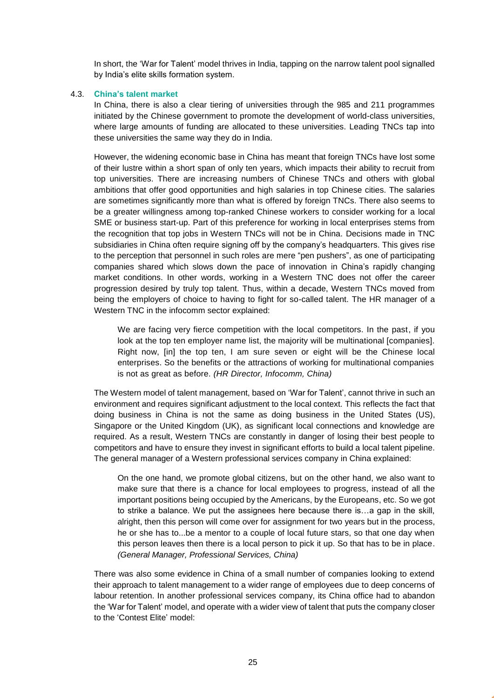In short, the 'War for Talent' model thrives in India, tapping on the narrow talent pool signalled by India's elite skills formation system.

#### <span id="page-24-0"></span>4.3. **China's talent market**

In China, there is also a clear tiering of universities through the 985 and 211 programmes initiated by the Chinese government to promote the development of world-class universities, where large amounts of funding are allocated to these universities. Leading TNCs tap into these universities the same way they do in India.

However, the widening economic base in China has meant that foreign TNCs have lost some of their lustre within a short span of only ten years, which impacts their ability to recruit from top universities. There are increasing numbers of Chinese TNCs and others with global ambitions that offer good opportunities and high salaries in top Chinese cities. The salaries are sometimes significantly more than what is offered by foreign TNCs. There also seems to be a greater willingness among top-ranked Chinese workers to consider working for a local SME or business start-up. Part of this preference for working in local enterprises stems from the recognition that top jobs in Western TNCs will not be in China. Decisions made in TNC subsidiaries in China often require signing off by the company's headquarters. This gives rise to the perception that personnel in such roles are mere "pen pushers", as one of participating companies shared which slows down the pace of innovation in China's rapidly changing market conditions. In other words, working in a Western TNC does not offer the career progression desired by truly top talent. Thus, within a decade, Western TNCs moved from being the employers of choice to having to fight for so-called talent. The HR manager of a Western TNC in the infocomm sector explained:

We are facing very fierce competition with the local competitors. In the past, if you look at the top ten employer name list, the majority will be multinational [companies]. Right now, [in] the top ten, I am sure seven or eight will be the Chinese local enterprises. So the benefits or the attractions of working for multinational companies is not as great as before. *(HR Director, Infocomm, China)*

The Western model of talent management, based on 'War for Talent', cannot thrive in such an environment and requires significant adjustment to the local context. This reflects the fact that doing business in China is not the same as doing business in the United States (US), Singapore or the United Kingdom (UK), as significant local connections and knowledge are required. As a result, Western TNCs are constantly in danger of losing their best people to competitors and have to ensure they invest in significant efforts to build a local talent pipeline. The general manager of a Western professional services company in China explained:

On the one hand, we promote global citizens, but on the other hand, we also want to make sure that there is a chance for local employees to progress, instead of all the important positions being occupied by the Americans, by the Europeans, etc. So we got to strike a balance. We put the assignees here because there is…a gap in the skill, alright, then this person will come over for assignment for two years but in the process, he or she has to...be a mentor to a couple of local future stars, so that one day when this person leaves then there is a local person to pick it up. So that has to be in place. *(General Manager, Professional Services, China)*

There was also some evidence in China of a small number of companies looking to extend their approach to talent management to a wider range of employees due to deep concerns of labour retention. In another professional services company, its China office had to abandon the 'War for Talent' model, and operate with a wider view of talent that puts the company closer to the 'Contest Elite' model: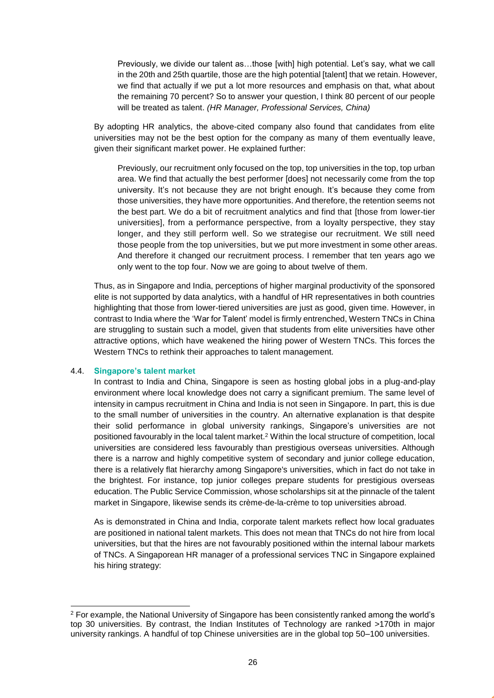Previously, we divide our talent as…those [with] high potential. Let's say, what we call in the 20th and 25th quartile, those are the high potential [talent] that we retain. However, we find that actually if we put a lot more resources and emphasis on that, what about the remaining 70 percent? So to answer your question, I think 80 percent of our people will be treated as talent. *(HR Manager, Professional Services, China)*

By adopting HR analytics, the above-cited company also found that candidates from elite universities may not be the best option for the company as many of them eventually leave, given their significant market power. He explained further:

Previously, our recruitment only focused on the top, top universities in the top, top urban area. We find that actually the best performer [does] not necessarily come from the top university. It's not because they are not bright enough. It's because they come from those universities, they have more opportunities. And therefore, the retention seems not the best part. We do a bit of recruitment analytics and find that [those from lower-tier universities], from a performance perspective, from a loyalty perspective, they stay longer, and they still perform well. So we strategise our recruitment. We still need those people from the top universities, but we put more investment in some other areas. And therefore it changed our recruitment process. I remember that ten years ago we only went to the top four. Now we are going to about twelve of them.

Thus, as in Singapore and India, perceptions of higher marginal productivity of the sponsored elite is not supported by data analytics, with a handful of HR representatives in both countries highlighting that those from lower-tiered universities are just as good, given time. However, in contrast to India where the 'War for Talent' model is firmly entrenched, Western TNCs in China are struggling to sustain such a model, given that students from elite universities have other attractive options, which have weakened the hiring power of Western TNCs. This forces the Western TNCs to rethink their approaches to talent management.

#### <span id="page-25-0"></span>4.4. **Singapore's talent market**

-

In contrast to India and China, Singapore is seen as hosting global jobs in a plug-and-play environment where local knowledge does not carry a significant premium. The same level of intensity in campus recruitment in China and India is not seen in Singapore. In part, this is due to the small number of universities in the country. An alternative explanation is that despite their solid performance in global university rankings, Singapore's universities are not positioned favourably in the local talent market.<sup>2</sup> Within the local structure of competition, local universities are considered less favourably than prestigious overseas universities. Although there is a narrow and highly competitive system of secondary and junior college education, there is a relatively flat hierarchy among Singapore's universities, which in fact do not take in the brightest. For instance, top junior colleges prepare students for prestigious overseas education. The Public Service Commission, whose scholarships sit at the pinnacle of the talent market in Singapore, likewise sends its crème-de-la-crème to top universities abroad.

As is demonstrated in China and India, corporate talent markets reflect how local graduates are positioned in national talent markets. This does not mean that TNCs do not hire from local universities, but that the hires are not favourably positioned within the internal labour markets of TNCs. A Singaporean HR manager of a professional services TNC in Singapore explained his hiring strategy:

<sup>2</sup> For example, the National University of Singapore has been consistently ranked among the world's top 30 universities. By contrast, the Indian Institutes of Technology are ranked >170th in major university rankings. A handful of top Chinese universities are in the global top 50–100 universities.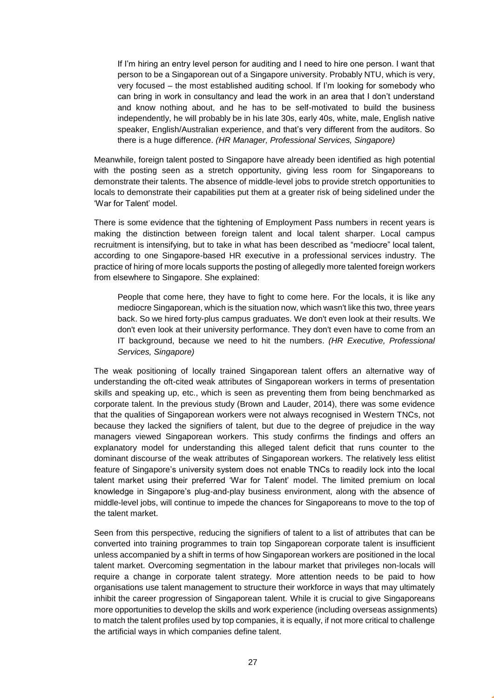If I'm hiring an entry level person for auditing and I need to hire one person. I want that person to be a Singaporean out of a Singapore university. Probably NTU, which is very, very focused – the most established auditing school. If I'm looking for somebody who can bring in work in consultancy and lead the work in an area that I don't understand and know nothing about, and he has to be self-motivated to build the business independently, he will probably be in his late 30s, early 40s, white, male, English native speaker, English/Australian experience, and that's very different from the auditors. So there is a huge difference. *(HR Manager, Professional Services, Singapore)*

Meanwhile, foreign talent posted to Singapore have already been identified as high potential with the posting seen as a stretch opportunity, giving less room for Singaporeans to demonstrate their talents. The absence of middle-level jobs to provide stretch opportunities to locals to demonstrate their capabilities put them at a greater risk of being sidelined under the 'War for Talent' model.

There is some evidence that the tightening of Employment Pass numbers in recent years is making the distinction between foreign talent and local talent sharper. Local campus recruitment is intensifying, but to take in what has been described as "mediocre" local talent, according to one Singapore-based HR executive in a professional services industry. The practice of hiring of more locals supports the posting of allegedly more talented foreign workers from elsewhere to Singapore. She explained:

People that come here, they have to fight to come here. For the locals, it is like any mediocre Singaporean, which is the situation now, which wasn't like this two, three years back. So we hired forty-plus campus graduates. We don't even look at their results. We don't even look at their university performance. They don't even have to come from an IT background, because we need to hit the numbers. *(HR Executive, Professional Services, Singapore)*

The weak positioning of locally trained Singaporean talent offers an alternative way of understanding the oft-cited weak attributes of Singaporean workers in terms of presentation skills and speaking up, etc., which is seen as preventing them from being benchmarked as corporate talent. In the previous study (Brown and Lauder, 2014), there was some evidence that the qualities of Singaporean workers were not always recognised in Western TNCs, not because they lacked the signifiers of talent, but due to the degree of prejudice in the way managers viewed Singaporean workers. This study confirms the findings and offers an explanatory model for understanding this alleged talent deficit that runs counter to the dominant discourse of the weak attributes of Singaporean workers. The relatively less elitist feature of Singapore's university system does not enable TNCs to readily lock into the local talent market using their preferred 'War for Talent' model. The limited premium on local knowledge in Singapore's plug-and-play business environment, along with the absence of middle-level jobs, will continue to impede the chances for Singaporeans to move to the top of the talent market.

Seen from this perspective, reducing the signifiers of talent to a list of attributes that can be converted into training programmes to train top Singaporean corporate talent is insufficient unless accompanied by a shift in terms of how Singaporean workers are positioned in the local talent market. Overcoming segmentation in the labour market that privileges non-locals will require a change in corporate talent strategy. More attention needs to be paid to how organisations use talent management to structure their workforce in ways that may ultimately inhibit the career progression of Singaporean talent. While it is crucial to give Singaporeans more opportunities to develop the skills and work experience (including overseas assignments) to match the talent profiles used by top companies, it is equally, if not more critical to challenge the artificial ways in which companies define talent.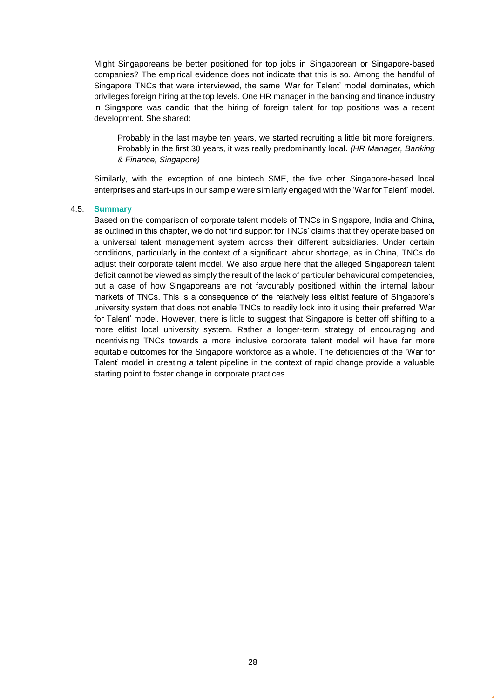Might Singaporeans be better positioned for top jobs in Singaporean or Singapore-based companies? The empirical evidence does not indicate that this is so. Among the handful of Singapore TNCs that were interviewed, the same 'War for Talent' model dominates, which privileges foreign hiring at the top levels. One HR manager in the banking and finance industry in Singapore was candid that the hiring of foreign talent for top positions was a recent development. She shared:

Probably in the last maybe ten years, we started recruiting a little bit more foreigners. Probably in the first 30 years, it was really predominantly local. *(HR Manager, Banking & Finance, Singapore)*

Similarly, with the exception of one biotech SME, the five other Singapore-based local enterprises and start-ups in our sample were similarly engaged with the 'War for Talent' model.

#### <span id="page-27-0"></span>4.5. **Summary**

Based on the comparison of corporate talent models of TNCs in Singapore, India and China, as outlined in this chapter, we do not find support for TNCs' claims that they operate based on a universal talent management system across their different subsidiaries. Under certain conditions, particularly in the context of a significant labour shortage, as in China, TNCs do adjust their corporate talent model. We also argue here that the alleged Singaporean talent deficit cannot be viewed as simply the result of the lack of particular behavioural competencies, but a case of how Singaporeans are not favourably positioned within the internal labour markets of TNCs. This is a consequence of the relatively less elitist feature of Singapore's university system that does not enable TNCs to readily lock into it using their preferred 'War for Talent' model. However, there is little to suggest that Singapore is better off shifting to a more elitist local university system. Rather a longer-term strategy of encouraging and incentivising TNCs towards a more inclusive corporate talent model will have far more equitable outcomes for the Singapore workforce as a whole. The deficiencies of the 'War for Talent' model in creating a talent pipeline in the context of rapid change provide a valuable starting point to foster change in corporate practices.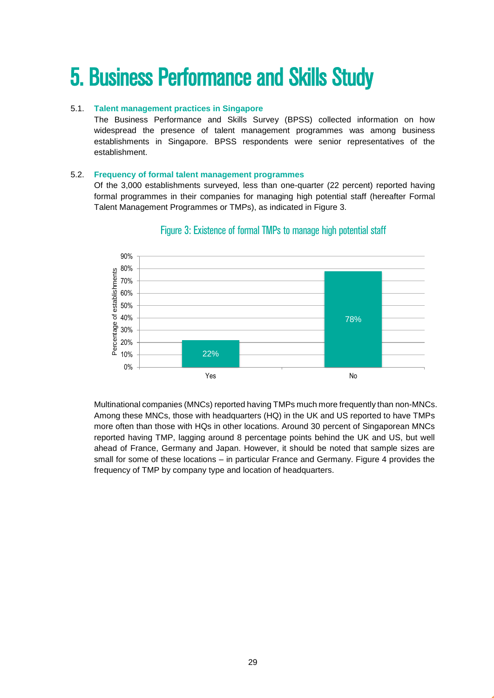# <span id="page-28-0"></span>5. Business Performance and Skills Study

### 5.1. **Talent management practices in Singapore**

<span id="page-28-1"></span>The Business Performance and Skills Survey (BPSS) collected information on how widespread the presence of talent management programmes was among business establishments in Singapore. BPSS respondents were senior representatives of the establishment.

#### <span id="page-28-2"></span>5.2. **Frequency of formal talent management programmes**

Of the 3,000 establishments surveyed, less than one-quarter (22 percent) reported having formal programmes in their companies for managing high potential staff (hereafter Formal Talent Management Programmes or TMPs), as indicated in Figure 3.



### Figure 3: Existence of formal TMPs to manage high potential staff

Multinational companies (MNCs) reported having TMPs much more frequently than non-MNCs. Among these MNCs, those with headquarters (HQ) in the UK and US reported to have TMPs more often than those with HQs in other locations. Around 30 percent of Singaporean MNCs reported having TMP, lagging around 8 percentage points behind the UK and US, but well ahead of France, Germany and Japan. However, it should be noted that sample sizes are small for some of these locations – in particular France and Germany. Figure 4 provides the frequency of TMP by company type and location of headquarters.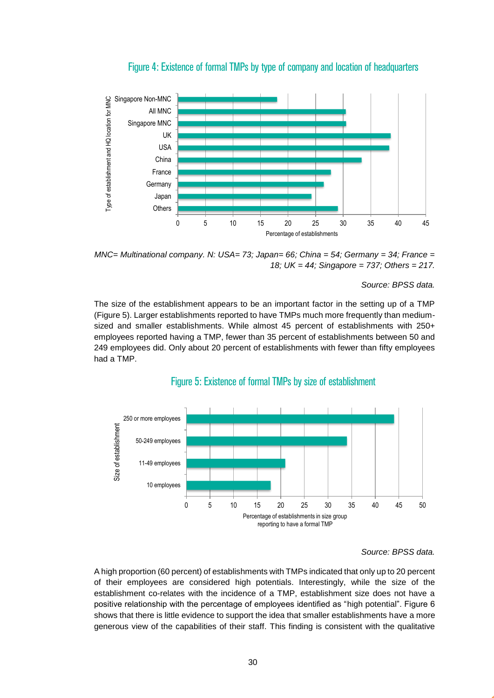

Figure 4: Existence of formal TMPs by type of company and location of headquarters

*MNC= Multinational company. N: USA= 73; Japan= 66; China = 54; Germany = 34; France = 18; UK = 44; Singapore = 737; Others = 217.*

#### *Source: BPSS data.*

The size of the establishment appears to be an important factor in the setting up of a TMP (Figure 5). Larger establishments reported to have TMPs much more frequently than mediumsized and smaller establishments. While almost 45 percent of establishments with 250+ employees reported having a TMP, fewer than 35 percent of establishments between 50 and 249 employees did. Only about 20 percent of establishments with fewer than fifty employees had a TMP.



#### Figure 5: Existence of formal TMPs by size of establishment

A high proportion (60 percent) of establishments with TMPs indicated that only up to 20 percent of their employees are considered high potentials. Interestingly, while the size of the establishment co-relates with the incidence of a TMP, establishment size does not have a positive relationship with the percentage of employees identified as "high potential". Figure 6 shows that there is little evidence to support the idea that smaller establishments have a more generous view of the capabilities of their staff. This finding is consistent with the qualitative

*Source: BPSS data.*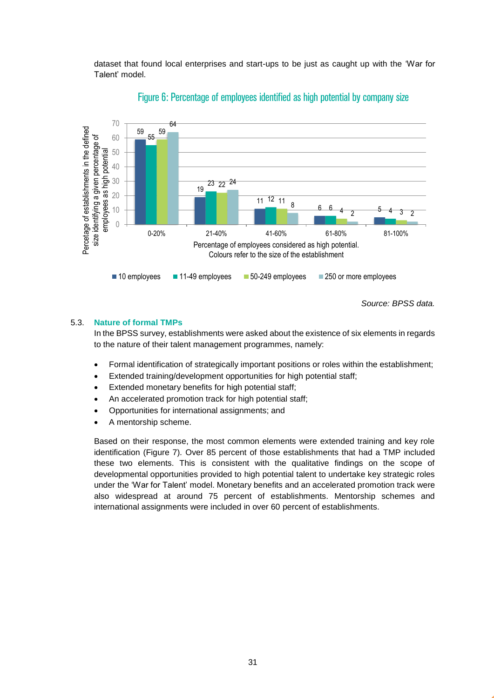dataset that found local enterprises and start-ups to be just as caught up with the 'War for Talent' model.



### Figure 6: Percentage of employees identified as high potential by company size

*Source: BPSS data.*

#### <span id="page-30-0"></span>5.3. **Nature of formal TMPs**

In the BPSS survey, establishments were asked about the existence of six elements in regards to the nature of their talent management programmes, namely:

- Formal identification of strategically important positions or roles within the establishment;
- Extended training/development opportunities for high potential staff;
- Extended monetary benefits for high potential staff;
- An accelerated promotion track for high potential staff;
- Opportunities for international assignments; and
- A mentorship scheme.

Based on their response, the most common elements were extended training and key role identification (Figure 7)*.* Over 85 percent of those establishments that had a TMP included these two elements. This is consistent with the qualitative findings on the scope of developmental opportunities provided to high potential talent to undertake key strategic roles under the 'War for Talent' model. Monetary benefits and an accelerated promotion track were also widespread at around 75 percent of establishments. Mentorship schemes and international assignments were included in over 60 percent of establishments.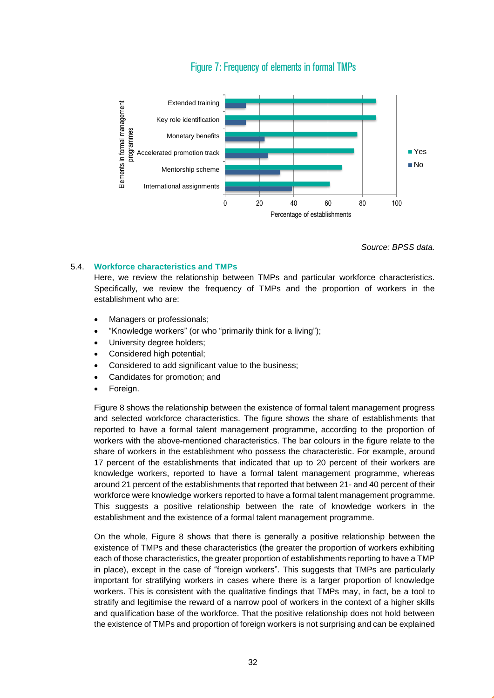### Figure 7: Frequency of elements in formal TMPs



*Source: BPSS data.*

#### <span id="page-31-0"></span>5.4. **Workforce characteristics and TMPs**

Here, we review the relationship between TMPs and particular workforce characteristics. Specifically, we review the frequency of TMPs and the proportion of workers in the establishment who are:

- Managers or professionals;
- "Knowledge workers" (or who "primarily think for a living");
- University degree holders;
- Considered high potential;
- Considered to add significant value to the business;
- Candidates for promotion; and
- Foreign.

Figure 8 shows the relationship between the existence of formal talent management progress and selected workforce characteristics. The figure shows the share of establishments that reported to have a formal talent management programme, according to the proportion of workers with the above-mentioned characteristics. The bar colours in the figure relate to the share of workers in the establishment who possess the characteristic. For example, around 17 percent of the establishments that indicated that up to 20 percent of their workers are knowledge workers, reported to have a formal talent management programme, whereas around 21 percent of the establishments that reported that between 21- and 40 percent of their workforce were knowledge workers reported to have a formal talent management programme. This suggests a positive relationship between the rate of knowledge workers in the establishment and the existence of a formal talent management programme.

On the whole, Figure 8 shows that there is generally a positive relationship between the existence of TMPs and these characteristics (the greater the proportion of workers exhibiting each of those characteristics, the greater proportion of establishments reporting to have a TMP in place), except in the case of "foreign workers". This suggests that TMPs are particularly important for stratifying workers in cases where there is a larger proportion of knowledge workers. This is consistent with the qualitative findings that TMPs may, in fact, be a tool to stratify and legitimise the reward of a narrow pool of workers in the context of a higher skills and qualification base of the workforce. That the positive relationship does not hold between the existence of TMPs and proportion of foreign workers is not surprising and can be explained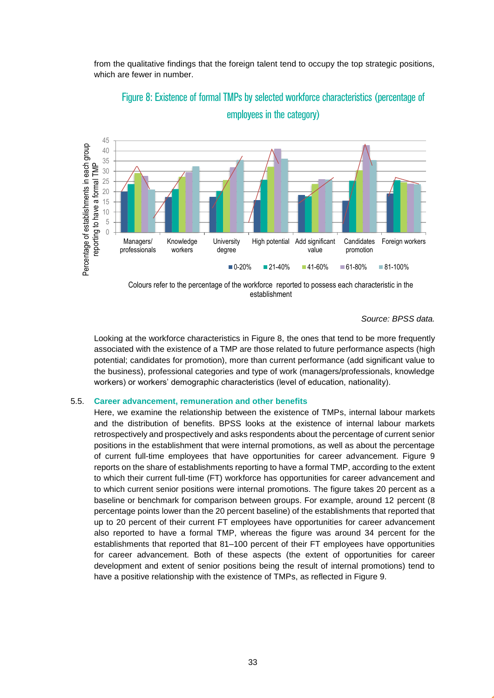from the qualitative findings that the foreign talent tend to occupy the top strategic positions, which are fewer in number.



Figure 8: Existence of formal TMPs by selected workforce characteristics (percentage of employees in the category)

Colours refer to the percentage of the workforce reported to possess each characteristic in the establishment

*Source: BPSS data.*

Looking at the workforce characteristics in Figure 8, the ones that tend to be more frequently associated with the existence of a TMP are those related to future performance aspects (high potential; candidates for promotion), more than current performance (add significant value to the business), professional categories and type of work (managers/professionals, knowledge workers) or workers' demographic characteristics (level of education, nationality).

#### <span id="page-32-0"></span>5.5. **Career advancement, remuneration and other benefits**

Here, we examine the relationship between the existence of TMPs, internal labour markets and the distribution of benefits. BPSS looks at the existence of internal labour markets retrospectively and prospectively and asks respondents about the percentage of current senior positions in the establishment that were internal promotions, as well as about the percentage of current full-time employees that have opportunities for career advancement. Figure 9 reports on the share of establishments reporting to have a formal TMP, according to the extent to which their current full-time (FT) workforce has opportunities for career advancement and to which current senior positions were internal promotions. The figure takes 20 percent as a baseline or benchmark for comparison between groups. For example, around 12 percent (8 percentage points lower than the 20 percent baseline) of the establishments that reported that up to 20 percent of their current FT employees have opportunities for career advancement also reported to have a formal TMP, whereas the figure was around 34 percent for the establishments that reported that 81–100 percent of their FT employees have opportunities for career advancement. Both of these aspects (the extent of opportunities for career development and extent of senior positions being the result of internal promotions) tend to have a positive relationship with the existence of TMPs, as reflected in Figure 9.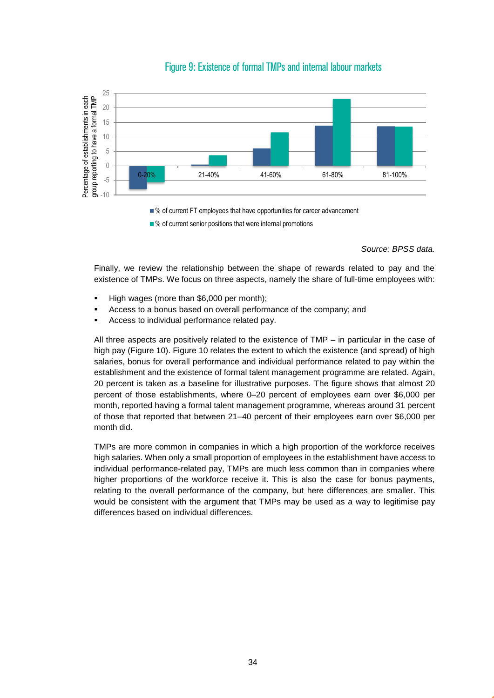

### Figure 9: Existence of formal TMPs and internal labour markets

■ % of current FT employees that have opportunities for career advancement

 $\blacksquare$ % of current senior positions that were internal promotions

*Source: BPSS data.*

Finally, we review the relationship between the shape of rewards related to pay and the existence of TMPs. We focus on three aspects, namely the share of full-time employees with:

- High wages (more than \$6,000 per month);
- Access to a bonus based on overall performance of the company; and
- Access to individual performance related pay.

All three aspects are positively related to the existence of TMP – in particular in the case of high pay (Figure 10). Figure 10 relates the extent to which the existence (and spread) of high salaries, bonus for overall performance and individual performance related to pay within the establishment and the existence of formal talent management programme are related. Again, 20 percent is taken as a baseline for illustrative purposes. The figure shows that almost 20 percent of those establishments, where 0–20 percent of employees earn over \$6,000 per month, reported having a formal talent management programme, whereas around 31 percent of those that reported that between 21–40 percent of their employees earn over \$6,000 per month did.

TMPs are more common in companies in which a high proportion of the workforce receives high salaries. When only a small proportion of employees in the establishment have access to individual performance-related pay, TMPs are much less common than in companies where higher proportions of the workforce receive it. This is also the case for bonus payments, relating to the overall performance of the company, but here differences are smaller. This would be consistent with the argument that TMPs may be used as a way to legitimise pay differences based on individual differences.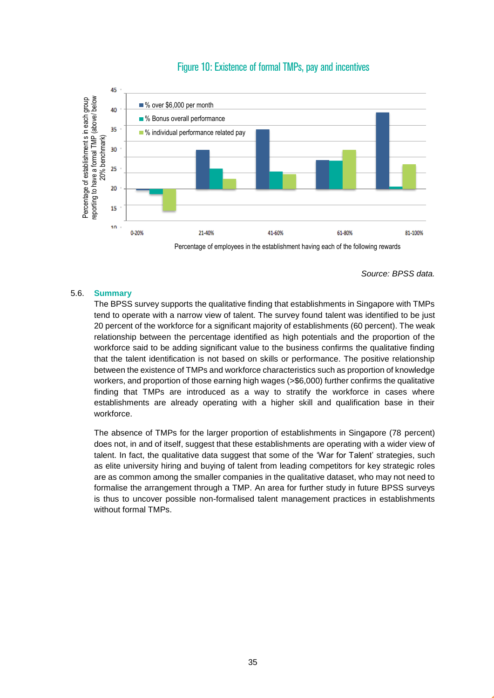



*Source: BPSS data.*

#### <span id="page-34-0"></span>5.6. **Summary**

The BPSS survey supports the qualitative finding that establishments in Singapore with TMPs tend to operate with a narrow view of talent. The survey found talent was identified to be just 20 percent of the workforce for a significant majority of establishments (60 percent). The weak relationship between the percentage identified as high potentials and the proportion of the workforce said to be adding significant value to the business confirms the qualitative finding that the talent identification is not based on skills or performance. The positive relationship between the existence of TMPs and workforce characteristics such as proportion of knowledge workers, and proportion of those earning high wages (>\$6,000) further confirms the qualitative finding that TMPs are introduced as a way to stratify the workforce in cases where establishments are already operating with a higher skill and qualification base in their workforce.

The absence of TMPs for the larger proportion of establishments in Singapore (78 percent) does not, in and of itself, suggest that these establishments are operating with a wider view of talent. In fact, the qualitative data suggest that some of the 'War for Talent' strategies, such as elite university hiring and buying of talent from leading competitors for key strategic roles are as common among the smaller companies in the qualitative dataset, who may not need to formalise the arrangement through a TMP. An area for further study in future BPSS surveys is thus to uncover possible non-formalised talent management practices in establishments without formal TMPs.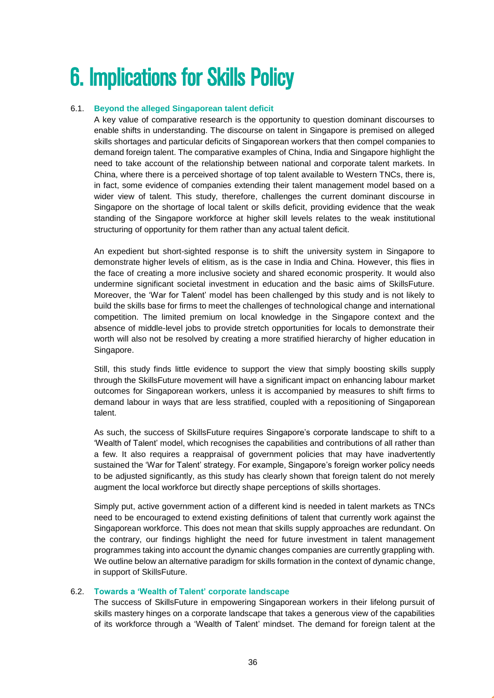# <span id="page-35-0"></span>6. Implications for Skills Policy

### 6.1. **Beyond the alleged Singaporean talent deficit**

<span id="page-35-1"></span>A key value of comparative research is the opportunity to question dominant discourses to enable shifts in understanding. The discourse on talent in Singapore is premised on alleged skills shortages and particular deficits of Singaporean workers that then compel companies to demand foreign talent. The comparative examples of China, India and Singapore highlight the need to take account of the relationship between national and corporate talent markets. In China, where there is a perceived shortage of top talent available to Western TNCs, there is, in fact, some evidence of companies extending their talent management model based on a wider view of talent. This study, therefore, challenges the current dominant discourse in Singapore on the shortage of local talent or skills deficit, providing evidence that the weak standing of the Singapore workforce at higher skill levels relates to the weak institutional structuring of opportunity for them rather than any actual talent deficit.

An expedient but short-sighted response is to shift the university system in Singapore to demonstrate higher levels of elitism, as is the case in India and China. However, this flies in the face of creating a more inclusive society and shared economic prosperity. It would also undermine significant societal investment in education and the basic aims of SkillsFuture. Moreover, the 'War for Talent' model has been challenged by this study and is not likely to build the skills base for firms to meet the challenges of technological change and international competition. The limited premium on local knowledge in the Singapore context and the absence of middle-level jobs to provide stretch opportunities for locals to demonstrate their worth will also not be resolved by creating a more stratified hierarchy of higher education in Singapore.

Still, this study finds little evidence to support the view that simply boosting skills supply through the SkillsFuture movement will have a significant impact on enhancing labour market outcomes for Singaporean workers, unless it is accompanied by measures to shift firms to demand labour in ways that are less stratified, coupled with a repositioning of Singaporean talent.

As such, the success of SkillsFuture requires Singapore's corporate landscape to shift to a 'Wealth of Talent' model, which recognises the capabilities and contributions of all rather than a few. It also requires a reappraisal of government policies that may have inadvertently sustained the 'War for Talent' strategy. For example, Singapore's foreign worker policy needs to be adjusted significantly, as this study has clearly shown that foreign talent do not merely augment the local workforce but directly shape perceptions of skills shortages.

Simply put, active government action of a different kind is needed in talent markets as TNCs need to be encouraged to extend existing definitions of talent that currently work against the Singaporean workforce. This does not mean that skills supply approaches are redundant. On the contrary, our findings highlight the need for future investment in talent management programmes taking into account the dynamic changes companies are currently grappling with. We outline below an alternative paradigm for skills formation in the context of dynamic change, in support of SkillsFuture.

#### <span id="page-35-2"></span>6.2. **Towards a 'Wealth of Talent' corporate landscape**

The success of SkillsFuture in empowering Singaporean workers in their lifelong pursuit of skills mastery hinges on a corporate landscape that takes a generous view of the capabilities of its workforce through a 'Wealth of Talent' mindset. The demand for foreign talent at the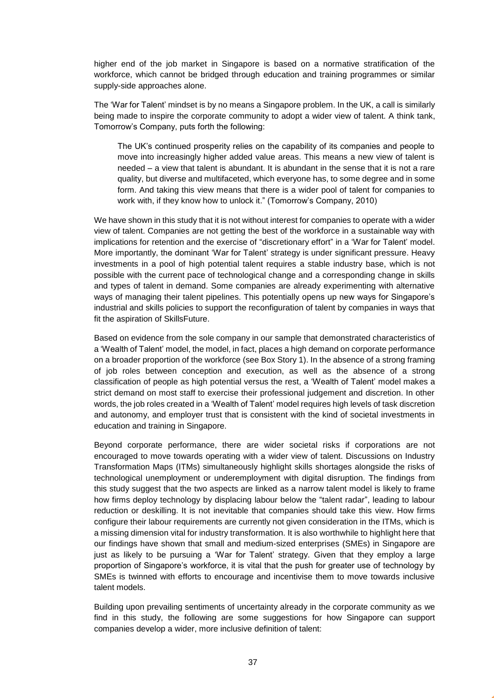higher end of the job market in Singapore is based on a normative stratification of the workforce, which cannot be bridged through education and training programmes or similar supply-side approaches alone.

The 'War for Talent' mindset is by no means a Singapore problem. In the UK, a call is similarly being made to inspire the corporate community to adopt a wider view of talent. A think tank, Tomorrow's Company, puts forth the following:

The UK's continued prosperity relies on the capability of its companies and people to move into increasingly higher added value areas. This means a new view of talent is needed – a view that talent is abundant. It is abundant in the sense that it is not a rare quality, but diverse and multifaceted, which everyone has, to some degree and in some form. And taking this view means that there is a wider pool of talent for companies to work with, if they know how to unlock it." (Tomorrow's Company, 2010)

We have shown in this study that it is not without interest for companies to operate with a wider view of talent. Companies are not getting the best of the workforce in a sustainable way with implications for retention and the exercise of "discretionary effort" in a 'War for Talent' model. More importantly, the dominant 'War for Talent' strategy is under significant pressure. Heavy investments in a pool of high potential talent requires a stable industry base, which is not possible with the current pace of technological change and a corresponding change in skills and types of talent in demand. Some companies are already experimenting with alternative ways of managing their talent pipelines. This potentially opens up new ways for Singapore's industrial and skills policies to support the reconfiguration of talent by companies in ways that fit the aspiration of SkillsFuture.

Based on evidence from the sole company in our sample that demonstrated characteristics of a 'Wealth of Talent' model, the model, in fact, places a high demand on corporate performance on a broader proportion of the workforce (see Box Story 1). In the absence of a strong framing of job roles between conception and execution, as well as the absence of a strong classification of people as high potential versus the rest, a 'Wealth of Talent' model makes a strict demand on most staff to exercise their professional judgement and discretion. In other words, the job roles created in a 'Wealth of Talent' model requires high levels of task discretion and autonomy, and employer trust that is consistent with the kind of societal investments in education and training in Singapore.

Beyond corporate performance, there are wider societal risks if corporations are not encouraged to move towards operating with a wider view of talent. Discussions on Industry Transformation Maps (ITMs) simultaneously highlight skills shortages alongside the risks of technological unemployment or underemployment with digital disruption. The findings from this study suggest that the two aspects are linked as a narrow talent model is likely to frame how firms deploy technology by displacing labour below the "talent radar", leading to labour reduction or deskilling. It is not inevitable that companies should take this view. How firms configure their labour requirements are currently not given consideration in the ITMs, which is a missing dimension vital for industry transformation. It is also worthwhile to highlight here that our findings have shown that small and medium-sized enterprises (SMEs) in Singapore are just as likely to be pursuing a 'War for Talent' strategy. Given that they employ a large proportion of Singapore's workforce, it is vital that the push for greater use of technology by SMEs is twinned with efforts to encourage and incentivise them to move towards inclusive talent models.

Building upon prevailing sentiments of uncertainty already in the corporate community as we find in this study, the following are some suggestions for how Singapore can support companies develop a wider, more inclusive definition of talent: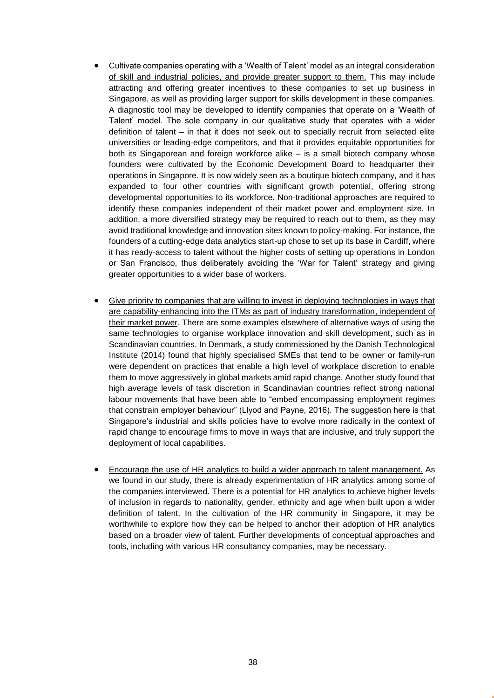- Cultivate companies operating with a 'Wealth of Talent' model as an integral consideration of skill and industrial policies, and provide greater support to them. This may include attracting and offering greater incentives to these companies to set up business in Singapore, as well as providing larger support for skills development in these companies. A diagnostic tool may be developed to identify companies that operate on a 'Wealth of Talent' model. The sole company in our qualitative study that operates with a wider definition of talent – in that it does not seek out to specially recruit from selected elite universities or leading-edge competitors, and that it provides equitable opportunities for both its Singaporean and foreign workforce alike – is a small biotech company whose founders were cultivated by the Economic Development Board to headquarter their operations in Singapore. It is now widely seen as a boutique biotech company, and it has expanded to four other countries with significant growth potential, offering strong developmental opportunities to its workforce. Non-traditional approaches are required to identify these companies independent of their market power and employment size. In addition, a more diversified strategy may be required to reach out to them, as they may avoid traditional knowledge and innovation sites known to policy-making. For instance, the founders of a cutting-edge data analytics start-up chose to set up its base in Cardiff, where it has ready-access to talent without the higher costs of setting up operations in London or San Francisco, thus deliberately avoiding the 'War for Talent' strategy and giving greater opportunities to a wider base of workers.
- Give priority to companies that are willing to invest in deploying technologies in ways that are capability-enhancing into the ITMs as part of industry transformation, independent of their market power. There are some examples elsewhere of alternative ways of using the same technologies to organise workplace innovation and skill development, such as in Scandinavian countries. In Denmark, a study commissioned by the Danish Technological Institute (2014) found that highly specialised SMEs that tend to be owner or family-run were dependent on practices that enable a high level of workplace discretion to enable them to move aggressively in global markets amid rapid change. Another study found that high average levels of task discretion in Scandinavian countries reflect strong national labour movements that have been able to "embed encompassing employment regimes that constrain employer behaviour" (Llyod and Payne, 2016). The suggestion here is that Singapore's industrial and skills policies have to evolve more radically in the context of rapid change to encourage firms to move in ways that are inclusive, and truly support the deployment of local capabilities.
- Encourage the use of HR analytics to build a wider approach to talent management. As we found in our study, there is already experimentation of HR analytics among some of the companies interviewed. There is a potential for HR analytics to achieve higher levels of inclusion in regards to nationality, gender, ethnicity and age when built upon a wider definition of talent. In the cultivation of the HR community in Singapore, it may be worthwhile to explore how they can be helped to anchor their adoption of HR analytics based on a broader view of talent. Further developments of conceptual approaches and tools, including with various HR consultancy companies, may be necessary.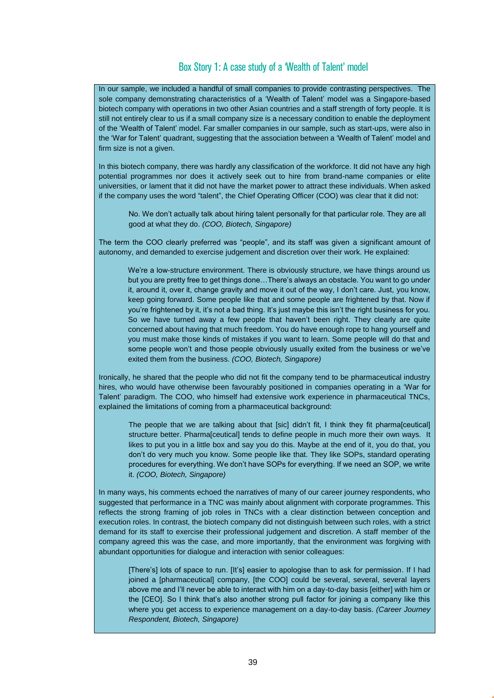### Box Story 1: A case study of a 'Wealth of Talent' model

In our sample, we included a handful of small companies to provide contrasting perspectives. The sole company demonstrating characteristics of a 'Wealth of Talent' model was a Singapore-based biotech company with operations in two other Asian countries and a staff strength of forty people. It is still not entirely clear to us if a small company size is a necessary condition to enable the deployment of the 'Wealth of Talent' model. Far smaller companies in our sample, such as start-ups, were also in the 'War for Talent' quadrant, suggesting that the association between a 'Wealth of Talent' model and firm size is not a given.

In this biotech company, there was hardly any classification of the workforce. It did not have any high potential programmes nor does it actively seek out to hire from brand-name companies or elite universities, or lament that it did not have the market power to attract these individuals. When asked if the company uses the word "talent", the Chief Operating Officer (COO) was clear that it did not:

No. We don't actually talk about hiring talent personally for that particular role. They are all good at what they do. *(COO, Biotech, Singapore)*

The term the COO clearly preferred was "people", and its staff was given a significant amount of autonomy, and demanded to exercise judgement and discretion over their work. He explained:

We're a low-structure environment. There is obviously structure, we have things around us but you are pretty free to get things done…There's always an obstacle. You want to go under it, around it, over it, change gravity and move it out of the way, I don't care. Just, you know, keep going forward. Some people like that and some people are frightened by that. Now if you're frightened by it, it's not a bad thing. It's just maybe this isn't the right business for you. So we have turned away a few people that haven't been right. They clearly are quite concerned about having that much freedom. You do have enough rope to hang yourself and you must make those kinds of mistakes if you want to learn. Some people will do that and some people won't and those people obviously usually exited from the business or we've exited them from the business. *(COO, Biotech, Singapore)*

Ironically, he shared that the people who did not fit the company tend to be pharmaceutical industry hires, who would have otherwise been favourably positioned in companies operating in a 'War for Talent' paradigm. The COO, who himself had extensive work experience in pharmaceutical TNCs, explained the limitations of coming from a pharmaceutical background:

The people that we are talking about that [sic] didn't fit, I think they fit pharma[ceutical] structure better. Pharma[ceutical] tends to define people in much more their own ways. It likes to put you in a little box and say you do this. Maybe at the end of it, you do that, you don't do very much you know. Some people like that. They like SOPs, standard operating procedures for everything. We don't have SOPs for everything. If we need an SOP, we write it. *(COO, Biotech, Singapore)*

In many ways, his comments echoed the narratives of many of our career journey respondents, who suggested that performance in a TNC was mainly about alignment with corporate programmes. This reflects the strong framing of job roles in TNCs with a clear distinction between conception and execution roles. In contrast, the biotech company did not distinguish between such roles, with a strict demand for its staff to exercise their professional judgement and discretion. A staff member of the company agreed this was the case, and more importantly, that the environment was forgiving with abundant opportunities for dialogue and interaction with senior colleagues:

[There's] lots of space to run. [It's] easier to apologise than to ask for permission. If I had joined a [pharmaceutical] company, [the COO] could be several, several, several layers above me and I'll never be able to interact with him on a day-to-day basis [either] with him or the [CEO]. So I think that's also another strong pull factor for joining a company like this where you get access to experience management on a day-to-day basis. *(Career Journey Respondent, Biotech, Singapore)*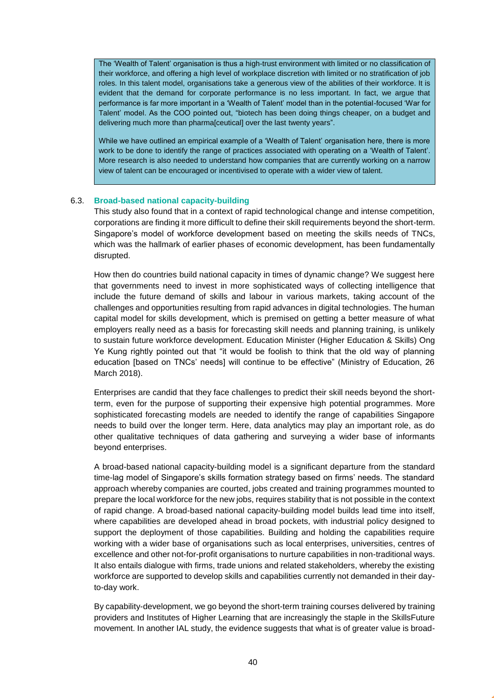The 'Wealth of Talent' organisation is thus a high-trust environment with limited or no classification of their workforce, and offering a high level of workplace discretion with limited or no stratification of job roles. In this talent model, organisations take a generous view of the abilities of their workforce. It is evident that the demand for corporate performance is no less important. In fact, we argue that performance is far more important in a 'Wealth of Talent' model than in the potential-focused 'War for Talent' model. As the COO pointed out, "biotech has been doing things cheaper, on a budget and delivering much more than pharma[ceutical] over the last twenty years".

While we have outlined an empirical example of a 'Wealth of Talent' organisation here, there is more work to be done to identify the range of practices associated with operating on a 'Wealth of Talent'. More research is also needed to understand how companies that are currently working on a narrow view of talent can be encouraged or incentivised to operate with a wider view of talent.

#### <span id="page-39-0"></span>6.3. **Broad-based national capacity-building**

This study also found that in a context of rapid technological change and intense competition, corporations are finding it more difficult to define their skill requirements beyond the short-term. Singapore's model of workforce development based on meeting the skills needs of TNCs, which was the hallmark of earlier phases of economic development, has been fundamentally disrupted.

How then do countries build national capacity in times of dynamic change? We suggest here that governments need to invest in more sophisticated ways of collecting intelligence that include the future demand of skills and labour in various markets, taking account of the challenges and opportunities resulting from rapid advances in digital technologies. The human capital model for skills development, which is premised on getting a better measure of what employers really need as a basis for forecasting skill needs and planning training, is unlikely to sustain future workforce development. Education Minister (Higher Education & Skills) Ong Ye Kung rightly pointed out that "it would be foolish to think that the old way of planning education [based on TNCs' needs] will continue to be effective" (Ministry of Education, 26 March 2018).

Enterprises are candid that they face challenges to predict their skill needs beyond the shortterm, even for the purpose of supporting their expensive high potential programmes. More sophisticated forecasting models are needed to identify the range of capabilities Singapore needs to build over the longer term. Here, data analytics may play an important role, as do other qualitative techniques of data gathering and surveying a wider base of informants beyond enterprises.

A broad-based national capacity-building model is a significant departure from the standard time-lag model of Singapore's skills formation strategy based on firms' needs. The standard approach whereby companies are courted, jobs created and training programmes mounted to prepare the local workforce for the new jobs, requires stability that is not possible in the context of rapid change. A broad-based national capacity-building model builds lead time into itself, where capabilities are developed ahead in broad pockets, with industrial policy designed to support the deployment of those capabilities. Building and holding the capabilities require working with a wider base of organisations such as local enterprises, universities, centres of excellence and other not-for-profit organisations to nurture capabilities in non-traditional ways. It also entails dialogue with firms, trade unions and related stakeholders, whereby the existing workforce are supported to develop skills and capabilities currently not demanded in their dayto-day work.

By capability-development, we go beyond the short-term training courses delivered by training providers and Institutes of Higher Learning that are increasingly the staple in the SkillsFuture movement. In another IAL study, the evidence suggests that what is of greater value is broad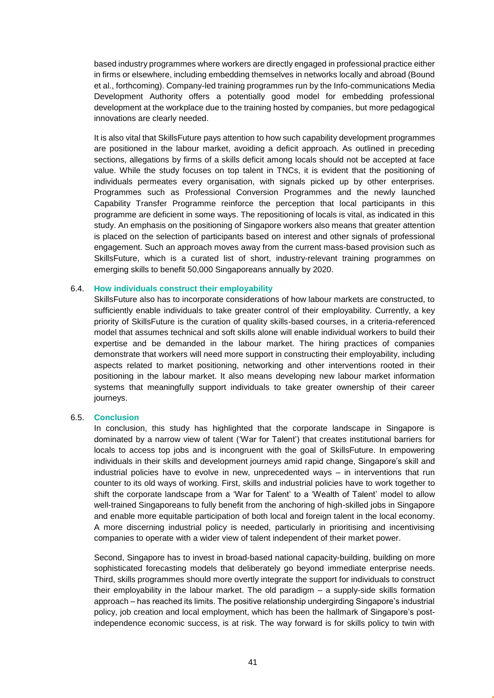based industry programmes where workers are directly engaged in professional practice either in firms or elsewhere, including embedding themselves in networks locally and abroad (Bound et al., forthcoming). Company-led training programmes run by the Info-communications Media Development Authority offers a potentially good model for embedding professional development at the workplace due to the training hosted by companies, but more pedagogical innovations are clearly needed.

It is also vital that SkillsFuture pays attention to how such capability development programmes are positioned in the labour market, avoiding a deficit approach. As outlined in preceding sections, allegations by firms of a skills deficit among locals should not be accepted at face value. While the study focuses on top talent in TNCs, it is evident that the positioning of individuals permeates every organisation, with signals picked up by other enterprises. Programmes such as Professional Conversion Programmes and the newly launched Capability Transfer Programme reinforce the perception that local participants in this programme are deficient in some ways. The repositioning of locals is vital, as indicated in this study. An emphasis on the positioning of Singapore workers also means that greater attention is placed on the selection of participants based on interest and other signals of professional engagement. Such an approach moves away from the current mass-based provision such as SkillsFuture, which is a curated list of short, industry-relevant training programmes on emerging skills to benefit 50,000 Singaporeans annually by 2020.

#### <span id="page-40-0"></span>6.4. **How individuals construct their employability**

SkillsFuture also has to incorporate considerations of how labour markets are constructed, to sufficiently enable individuals to take greater control of their employability. Currently, a key priority of SkillsFuture is the curation of quality skills-based courses, in a criteria-referenced model that assumes technical and soft skills alone will enable individual workers to build their expertise and be demanded in the labour market. The hiring practices of companies demonstrate that workers will need more support in constructing their employability, including aspects related to market positioning, networking and other interventions rooted in their positioning in the labour market. It also means developing new labour market information systems that meaningfully support individuals to take greater ownership of their career journeys.

#### <span id="page-40-1"></span>6.5. **Conclusion**

In conclusion, this study has highlighted that the corporate landscape in Singapore is dominated by a narrow view of talent ('War for Talent') that creates institutional barriers for locals to access top jobs and is incongruent with the goal of SkillsFuture. In empowering individuals in their skills and development journeys amid rapid change, Singapore's skill and industrial policies have to evolve in new, unprecedented ways – in interventions that run counter to its old ways of working. First, skills and industrial policies have to work together to shift the corporate landscape from a 'War for Talent' to a 'Wealth of Talent' model to allow well-trained Singaporeans to fully benefit from the anchoring of high-skilled jobs in Singapore and enable more equitable participation of both local and foreign talent in the local economy. A more discerning industrial policy is needed, particularly in prioritising and incentivising companies to operate with a wider view of talent independent of their market power.

Second, Singapore has to invest in broad-based national capacity-building, building on more sophisticated forecasting models that deliberately go beyond immediate enterprise needs. Third, skills programmes should more overtly integrate the support for individuals to construct their employability in the labour market. The old paradigm – a supply-side skills formation approach – has reached its limits. The positive relationship undergirding Singapore's industrial policy, job creation and local employment, which has been the hallmark of Singapore's postindependence economic success, is at risk. The way forward is for skills policy to twin with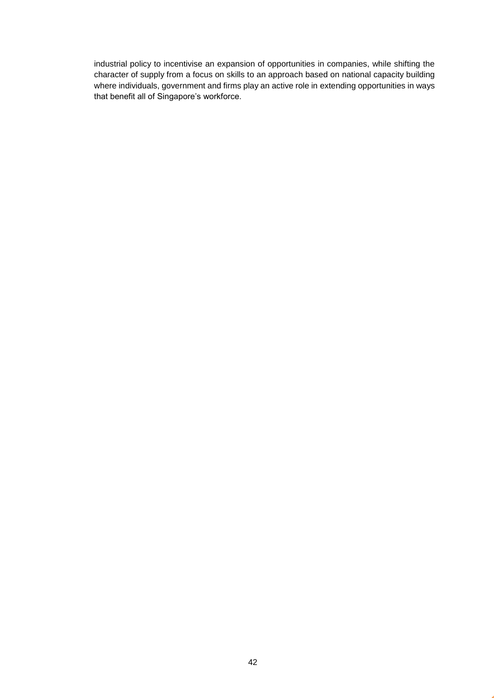industrial policy to incentivise an expansion of opportunities in companies, while shifting the character of supply from a focus on skills to an approach based on national capacity building where individuals, government and firms play an active role in extending opportunities in ways that benefit all of Singapore's workforce.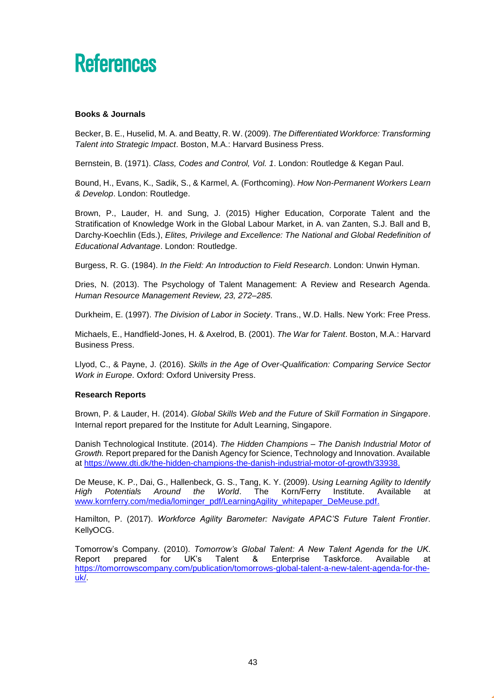## <span id="page-42-0"></span>**References**

#### **Books & Journals**

Becker, B. E., Huselid, M. A. and Beatty, R. W. (2009). *The Differentiated Workforce: Transforming Talent into Strategic Impact*. Boston, M.A.: Harvard Business Press.

Bernstein, B. (1971). *Class, Codes and Control, Vol. 1*. London: Routledge & Kegan Paul.

Bound, H., Evans, K., Sadik, S., & Karmel, A. (Forthcoming). *How Non-Permanent Workers Learn & Develop*. London: Routledge.

Brown, P., Lauder, H. and Sung, J. (2015) Higher Education, Corporate Talent and the Stratification of Knowledge Work in the Global Labour Market, in A. van Zanten, S.J. Ball and B, Darchy-Koechlin (Eds.), *Elites, Privilege and Excellence: The National and Global Redefinition of Educational Advantage*. London: Routledge.

Burgess, R. G. (1984). *In the Field: An Introduction to Field Research*. London: Unwin Hyman.

Dries, N. (2013). The Psychology of Talent Management: A Review and Research Agenda. *Human Resource Management Review, 23, 272–285.* 

Durkheim, E. (1997). *The Division of Labor in Society*. Trans., W.D. Halls. New York: Free Press.

Michaels, E., Handfield-Jones, H. & Axelrod, B. (2001). *The War for Talent*. Boston, M.A.: Harvard Business Press.

Llyod, C., & Payne, J. (2016). *Skills in the Age of Over-Qualification: Comparing Service Sector Work in Europe*. Oxford: Oxford University Press.

#### **Research Reports**

Brown, P. & Lauder, H. (2014). *Global Skills Web and the Future of Skill Formation in Singapore*. Internal report prepared for the Institute for Adult Learning, Singapore.

Danish Technological Institute. (2014). *The Hidden Champions – The Danish Industrial Motor of Growth.* Report prepared for the Danish Agency for Science, Technology and Innovation. Available at [https://www.dti.dk/the-hidden-champions-the-danish-industrial-motor-of-growth/33938.](https://www.dti.dk/the-hidden-champions-the-danish-industrial-motor-of-growth/33938)

De Meuse, K. P., Dai, G., Hallenbeck, G. S., Tang, K. Y. (2009). *Using Learning Agility to Identify High Potentials Around the World*. The Korn/Ferry Institute. Available at [www.kornferry.com/media/lominger\\_pdf/LearningAgility\\_whitepaper\\_DeMeuse.pdf.](http://www.kornferry.com/media/lominger_pdf/LearningAgility_whitepaper_DeMeuse.pdf)

Hamilton, P. (2017). *Workforce Agility Barometer: Navigate APAC'S Future Talent Frontier*. KellyOCG.

Tomorrow's Company. (2010). *Tomorrow's Global Talent: A New Talent Agenda for the UK*. Report prepared for UK's Talent & Enterprise Taskforce. Available at [https://tomorrowscompany.com/publication/tomorrows-global-talent-a-new-talent-agenda-for-the](https://tomorrowscompany.com/publication/tomorrows-global-talent-a-new-talent-agenda-for-the-uk/)[uk/.](https://tomorrowscompany.com/publication/tomorrows-global-talent-a-new-talent-agenda-for-the-uk/)